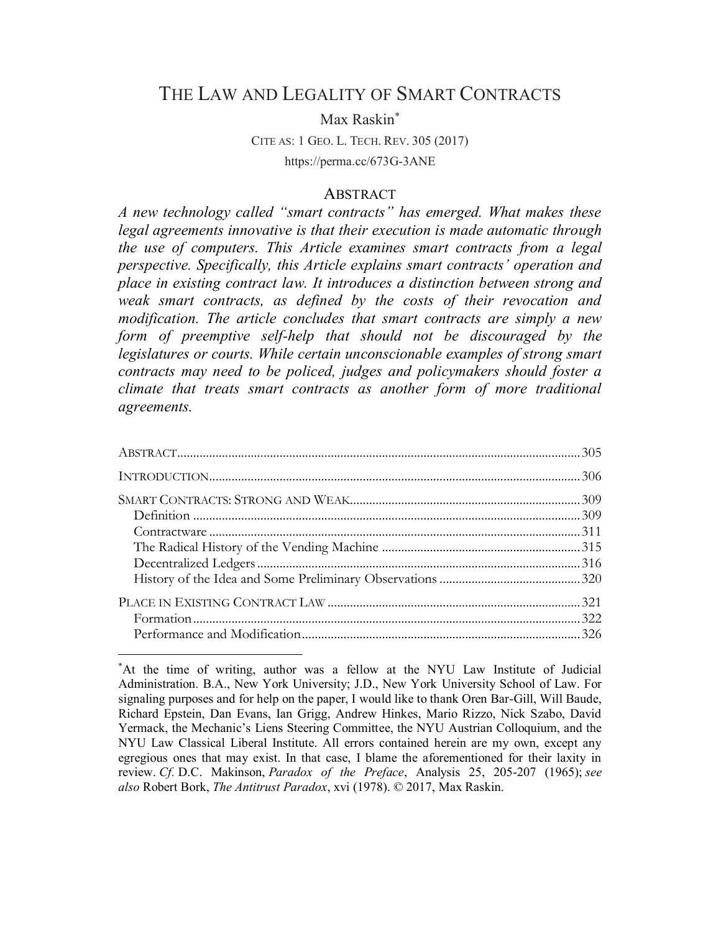# THE LAW AND LEGALITY OF SMART CONTRACTS

Max Raskin\*

CITE AS: 1 GEO. L. TECH. REV. 305 (2017) https://perma.cc/673G-3ANE

#### **ABSTRACT**

*A new technology called "smart contracts" has emerged. What makes these legal agreements innovative is that their execution is made automatic through the use of computers. This Article examines smart contracts from a legal perspective. Specifically, this Article explains smart contracts' operation and place in existing contract law. It introduces a distinction between strong and weak smart contracts, as defined by the costs of their revocation and modification. The article concludes that smart contracts are simply a new form of preemptive self-help that should not be discouraged by the legislatures or courts. While certain unconscionable examples of strong smart contracts may need to be policed, judges and policymakers should foster a climate that treats smart contracts as another form of more traditional agreements.*

 <sup>\*</sup> At the time of writing, author was a fellow at the NYU Law Institute of Judicial Administration. B.A., New York University; J.D., New York University School of Law. For signaling purposes and for help on the paper, I would like to thank Oren Bar-Gill, Will Baude, Richard Epstein, Dan Evans, Ian Grigg, Andrew Hinkes, Mario Rizzo, Nick Szabo, David Yermack, the Mechanic's Liens Steering Committee, the NYU Austrian Colloquium, and the NYU Law Classical Liberal Institute. All errors contained herein are my own, except any egregious ones that may exist. In that case, I blame the aforementioned for their laxity in review. *Cf.* D.C. Makinson, *Paradox of the Preface*, Analysis 25, 205-207 (1965); *see also* Robert Bork, *The Antitrust Paradox*, xvi (1978). © 2017, Max Raskin.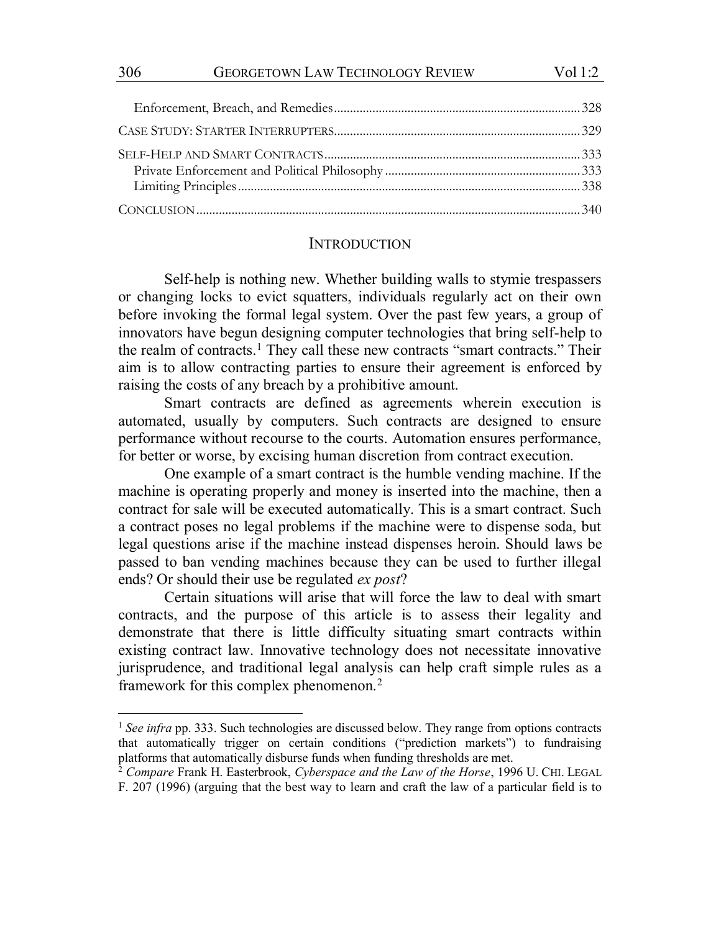|  | 01 I | l, |
|--|------|----|
|  |      |    |

#### **INTRODUCTION**

Self-help is nothing new. Whether building walls to stymie trespassers or changing locks to evict squatters, individuals regularly act on their own before invoking the formal legal system. Over the past few years, a group of innovators have begun designing computer technologies that bring self-help to the realm of contracts.<sup>1</sup> They call these new contracts "smart contracts." Their aim is to allow contracting parties to ensure their agreement is enforced by raising the costs of any breach by a prohibitive amount.

Smart contracts are defined as agreements wherein execution is automated, usually by computers. Such contracts are designed to ensure performance without recourse to the courts. Automation ensures performance, for better or worse, by excising human discretion from contract execution.

One example of a smart contract is the humble vending machine. If the machine is operating properly and money is inserted into the machine, then a contract for sale will be executed automatically. This is a smart contract. Such a contract poses no legal problems if the machine were to dispense soda, but legal questions arise if the machine instead dispenses heroin. Should laws be passed to ban vending machines because they can be used to further illegal ends? Or should their use be regulated *ex post*?

Certain situations will arise that will force the law to deal with smart contracts, and the purpose of this article is to assess their legality and demonstrate that there is little difficulty situating smart contracts within existing contract law. Innovative technology does not necessitate innovative jurisprudence, and traditional legal analysis can help craft simple rules as a framework for this complex phenomenon.<sup>2</sup>

<sup>&</sup>lt;sup>1</sup> See infra pp. 333. Such technologies are discussed below. They range from options contracts that automatically trigger on certain conditions ("prediction markets") to fundraising platforms that automatically disburse funds when funding thresholds are met.

<sup>2</sup> *Compare* Frank H. Easterbrook, *Cyberspace and the Law of the Horse*, 1996 U. CHI. LEGAL F. 207 (1996) (arguing that the best way to learn and craft the law of a particular field is to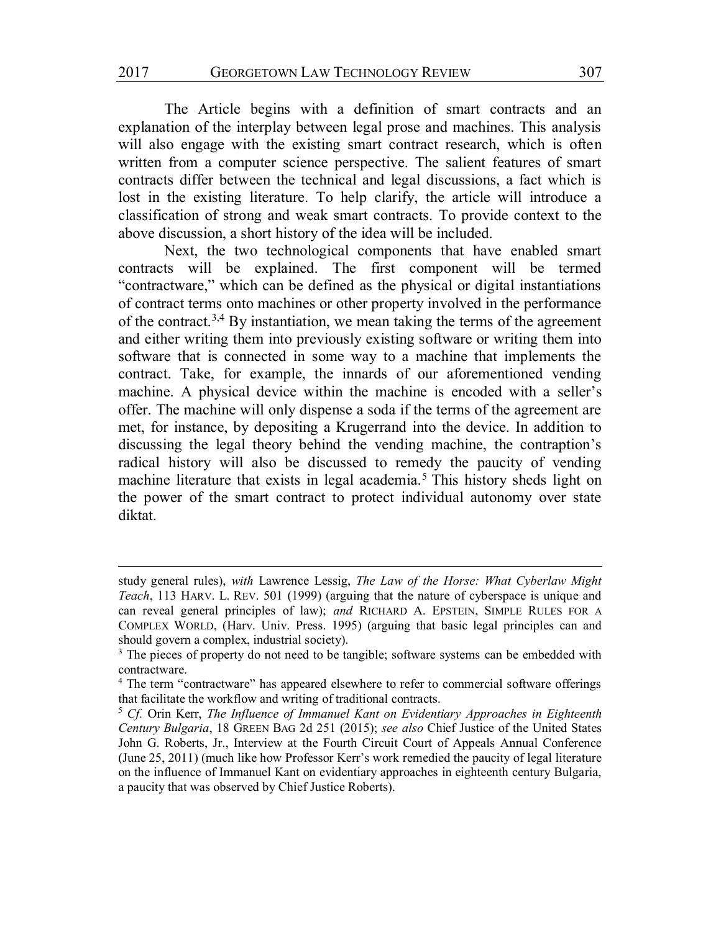The Article begins with a definition of smart contracts and an explanation of the interplay between legal prose and machines. This analysis will also engage with the existing smart contract research, which is often written from a computer science perspective. The salient features of smart contracts differ between the technical and legal discussions, a fact which is lost in the existing literature. To help clarify, the article will introduce a classification of strong and weak smart contracts. To provide context to the above discussion, a short history of the idea will be included.

Next, the two technological components that have enabled smart contracts will be explained. The first component will be termed "contractware," which can be defined as the physical or digital instantiations of contract terms onto machines or other property involved in the performance of the contract.3,4 By instantiation, we mean taking the terms of the agreement and either writing them into previously existing software or writing them into software that is connected in some way to a machine that implements the contract. Take, for example, the innards of our aforementioned vending machine. A physical device within the machine is encoded with a seller's offer. The machine will only dispense a soda if the terms of the agreement are met, for instance, by depositing a Krugerrand into the device. In addition to discussing the legal theory behind the vending machine, the contraption's radical history will also be discussed to remedy the paucity of vending machine literature that exists in legal academia.<sup>5</sup> This history sheds light on the power of the smart contract to protect individual autonomy over state diktat.

study general rules), *with* Lawrence Lessig, *The Law of the Horse: What Cyberlaw Might Teach*, 113 HARV. L. REV. 501 (1999) (arguing that the nature of cyberspace is unique and can reveal general principles of law); *and* RICHARD A. EPSTEIN, SIMPLE RULES FOR A COMPLEX WORLD, (Harv. Univ. Press. 1995) (arguing that basic legal principles can and should govern a complex, industrial society).

<sup>&</sup>lt;sup>3</sup> The pieces of property do not need to be tangible; software systems can be embedded with contractware.

<sup>&</sup>lt;sup>4</sup> The term "contractware" has appeared elsewhere to refer to commercial software offerings that facilitate the workflow and writing of traditional contracts.

<sup>5</sup> *Cf.* Orin Kerr, *The Influence of Immanuel Kant on Evidentiary Approaches in Eighteenth Century Bulgaria*, 18 GREEN BAG 2d 251 (2015); *see also* Chief Justice of the United States John G. Roberts, Jr., Interview at the Fourth Circuit Court of Appeals Annual Conference (June 25, 2011) (much like how Professor Kerr's work remedied the paucity of legal literature on the influence of Immanuel Kant on evidentiary approaches in eighteenth century Bulgaria, a paucity that was observed by Chief Justice Roberts).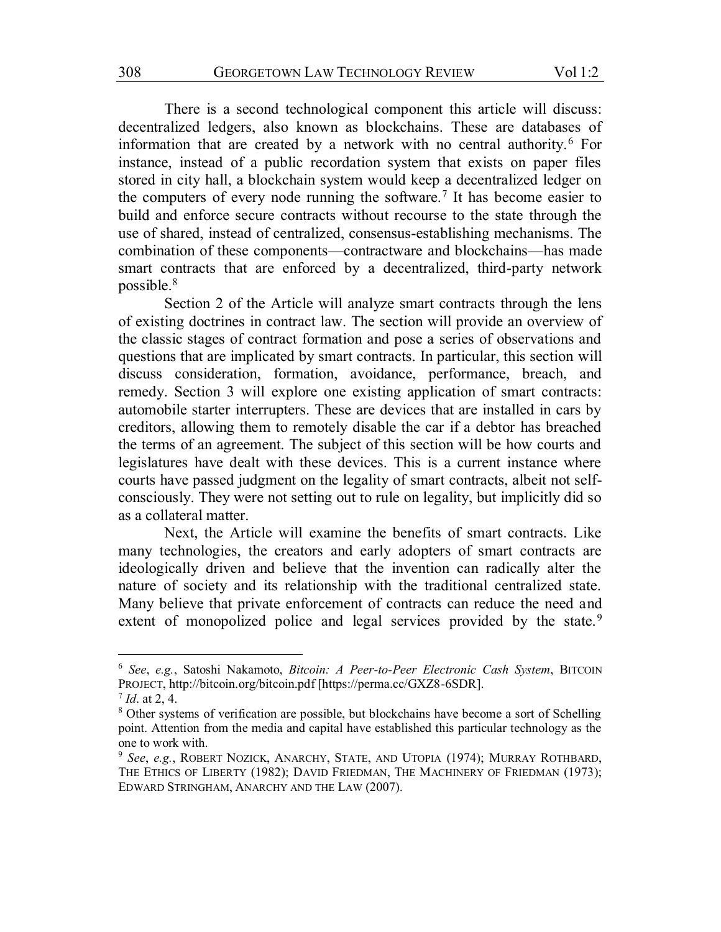There is a second technological component this article will discuss: decentralized ledgers, also known as blockchains. These are databases of information that are created by a network with no central authority.6 For instance, instead of a public recordation system that exists on paper files stored in city hall, a blockchain system would keep a decentralized ledger on the computers of every node running the software.<sup>7</sup> It has become easier to build and enforce secure contracts without recourse to the state through the use of shared, instead of centralized, consensus-establishing mechanisms. The combination of these components—contractware and blockchains—has made smart contracts that are enforced by a decentralized, third-party network possible.8

Section 2 of the Article will analyze smart contracts through the lens of existing doctrines in contract law. The section will provide an overview of the classic stages of contract formation and pose a series of observations and questions that are implicated by smart contracts. In particular, this section will discuss consideration, formation, avoidance, performance, breach, and remedy. Section 3 will explore one existing application of smart contracts: automobile starter interrupters. These are devices that are installed in cars by creditors, allowing them to remotely disable the car if a debtor has breached the terms of an agreement. The subject of this section will be how courts and legislatures have dealt with these devices. This is a current instance where courts have passed judgment on the legality of smart contracts, albeit not selfconsciously. They were not setting out to rule on legality, but implicitly did so as a collateral matter.

Next, the Article will examine the benefits of smart contracts. Like many technologies, the creators and early adopters of smart contracts are ideologically driven and believe that the invention can radically alter the nature of society and its relationship with the traditional centralized state. Many believe that private enforcement of contracts can reduce the need and extent of monopolized police and legal services provided by the state.<sup>9</sup>

 <sup>6</sup> *See*, *e.g.*, Satoshi Nakamoto, *Bitcoin: A Peer-to-Peer Electronic Cash System*, BITCOIN PROJECT, http://bitcoin.org/bitcoin.pdf [https://perma.cc/GXZ8-6SDR].

<sup>7</sup> *Id*. at 2, 4.

<sup>8</sup> Other systems of verification are possible, but blockchains have become a sort of Schelling point. Attention from the media and capital have established this particular technology as the one to work with.

<sup>9</sup> *See*, *e.g.*, ROBERT NOZICK, ANARCHY, STATE, AND UTOPIA (1974); MURRAY ROTHBARD, THE ETHICS OF LIBERTY (1982); DAVID FRIEDMAN, THE MACHINERY OF FRIEDMAN (1973); EDWARD STRINGHAM, ANARCHY AND THE LAW (2007).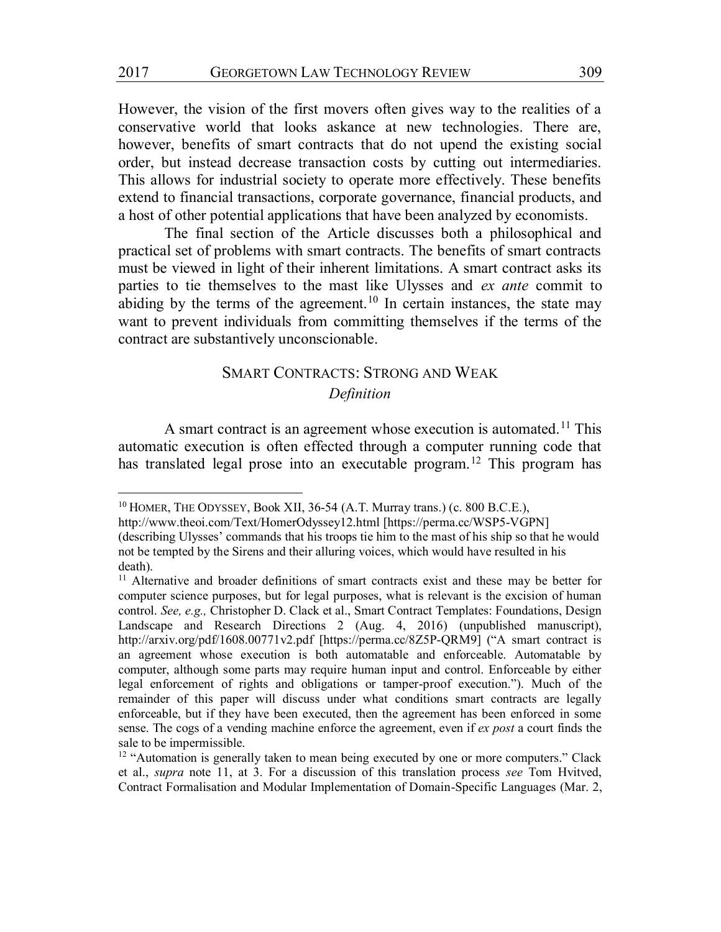However, the vision of the first movers often gives way to the realities of a conservative world that looks askance at new technologies. There are, however, benefits of smart contracts that do not upend the existing social order, but instead decrease transaction costs by cutting out intermediaries. This allows for industrial society to operate more effectively. These benefits extend to financial transactions, corporate governance, financial products, and a host of other potential applications that have been analyzed by economists.

The final section of the Article discusses both a philosophical and practical set of problems with smart contracts. The benefits of smart contracts must be viewed in light of their inherent limitations. A smart contract asks its parties to tie themselves to the mast like Ulysses and *ex ante* commit to abiding by the terms of the agreement.<sup>10</sup> In certain instances, the state may want to prevent individuals from committing themselves if the terms of the contract are substantively unconscionable.

# SMART CONTRACTS: STRONG AND WEAK *Definition*

A smart contract is an agreement whose execution is automated.<sup>11</sup> This automatic execution is often effected through a computer running code that has translated legal prose into an executable program.<sup>12</sup> This program has

<sup>&</sup>lt;sup>10</sup> HOMER, THE ODYSSEY, Book XII, 36-54 (A.T. Murray trans.) (c. 800 B.C.E.),

http://www.theoi.com/Text/HomerOdyssey12.html [https://perma.cc/WSP5-VGPN] (describing Ulysses' commands that his troops tie him to the mast of his ship so that he would not be tempted by the Sirens and their alluring voices, which would have resulted in his death).

<sup>&</sup>lt;sup>11</sup> Alternative and broader definitions of smart contracts exist and these may be better for computer science purposes, but for legal purposes, what is relevant is the excision of human control. *See, e.g.,* Christopher D. Clack et al., Smart Contract Templates: Foundations, Design Landscape and Research Directions 2 (Aug. 4, 2016) (unpublished manuscript), http://arxiv.org/pdf/1608.00771v2.pdf [https://perma.cc/8Z5P-QRM9] ("A smart contract is an agreement whose execution is both automatable and enforceable. Automatable by computer, although some parts may require human input and control. Enforceable by either legal enforcement of rights and obligations or tamper-proof execution."). Much of the remainder of this paper will discuss under what conditions smart contracts are legally enforceable, but if they have been executed, then the agreement has been enforced in some sense. The cogs of a vending machine enforce the agreement, even if *ex post* a court finds the sale to be impermissible.

<sup>&</sup>lt;sup>12</sup> "Automation is generally taken to mean being executed by one or more computers." Clack et al., *supra* note 11, at 3. For a discussion of this translation process *see* Tom Hvitved, Contract Formalisation and Modular Implementation of Domain-Specific Languages (Mar. 2,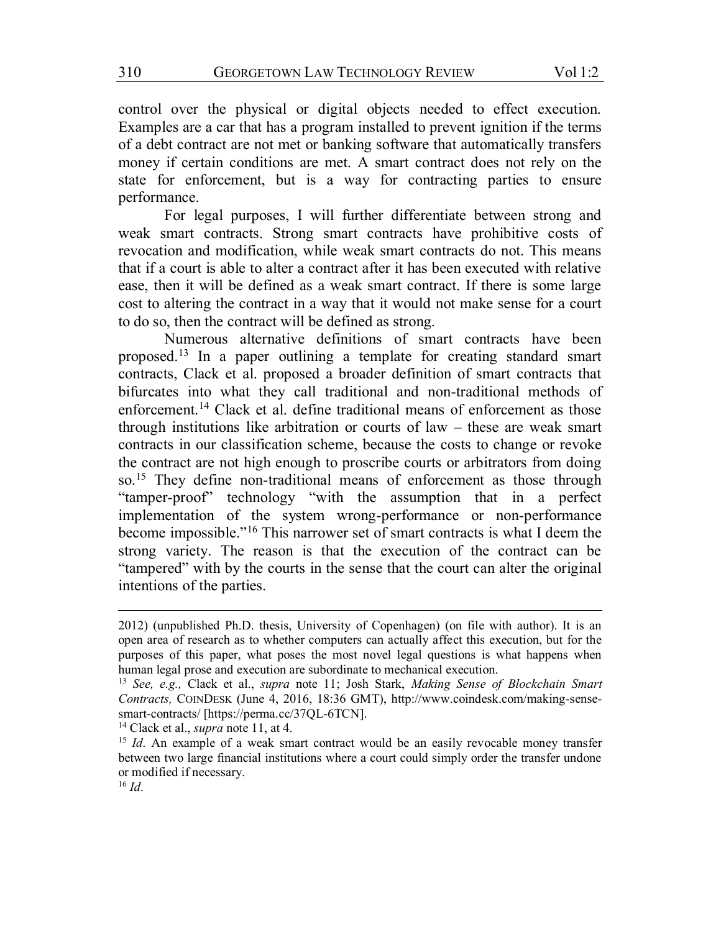control over the physical or digital objects needed to effect execution. Examples are a car that has a program installed to prevent ignition if the terms of a debt contract are not met or banking software that automatically transfers money if certain conditions are met. A smart contract does not rely on the state for enforcement, but is a way for contracting parties to ensure performance.

For legal purposes, I will further differentiate between strong and weak smart contracts. Strong smart contracts have prohibitive costs of revocation and modification, while weak smart contracts do not. This means that if a court is able to alter a contract after it has been executed with relative ease, then it will be defined as a weak smart contract. If there is some large cost to altering the contract in a way that it would not make sense for a court to do so, then the contract will be defined as strong.

Numerous alternative definitions of smart contracts have been proposed.13 In a paper outlining a template for creating standard smart contracts, Clack et al. proposed a broader definition of smart contracts that bifurcates into what they call traditional and non-traditional methods of enforcement.14 Clack et al. define traditional means of enforcement as those through institutions like arbitration or courts of law – these are weak smart contracts in our classification scheme, because the costs to change or revoke the contract are not high enough to proscribe courts or arbitrators from doing so.<sup>15</sup> They define non-traditional means of enforcement as those through "tamper-proof" technology "with the assumption that in a perfect implementation of the system wrong-performance or non-performance become impossible."<sup>16</sup> This narrower set of smart contracts is what I deem the strong variety. The reason is that the execution of the contract can be "tampered" with by the courts in the sense that the court can alter the original intentions of the parties.

<sup>14</sup> Clack et al., *supra* note 11, at 4.

<sup>2012) (</sup>unpublished Ph.D. thesis, University of Copenhagen) (on file with author). It is an open area of research as to whether computers can actually affect this execution, but for the purposes of this paper, what poses the most novel legal questions is what happens when human legal prose and execution are subordinate to mechanical execution.

<sup>13</sup> *See, e.g.,* Clack et al., *supra* note 11; Josh Stark, *Making Sense of Blockchain Smart Contracts,* COINDESK (June 4, 2016, 18:36 GMT), http://www.coindesk.com/making-sensesmart-contracts/ [https://perma.cc/37QL-6TCN].

<sup>&</sup>lt;sup>15</sup> *Id*. An example of a weak smart contract would be an easily revocable money transfer between two large financial institutions where a court could simply order the transfer undone or modified if necessary.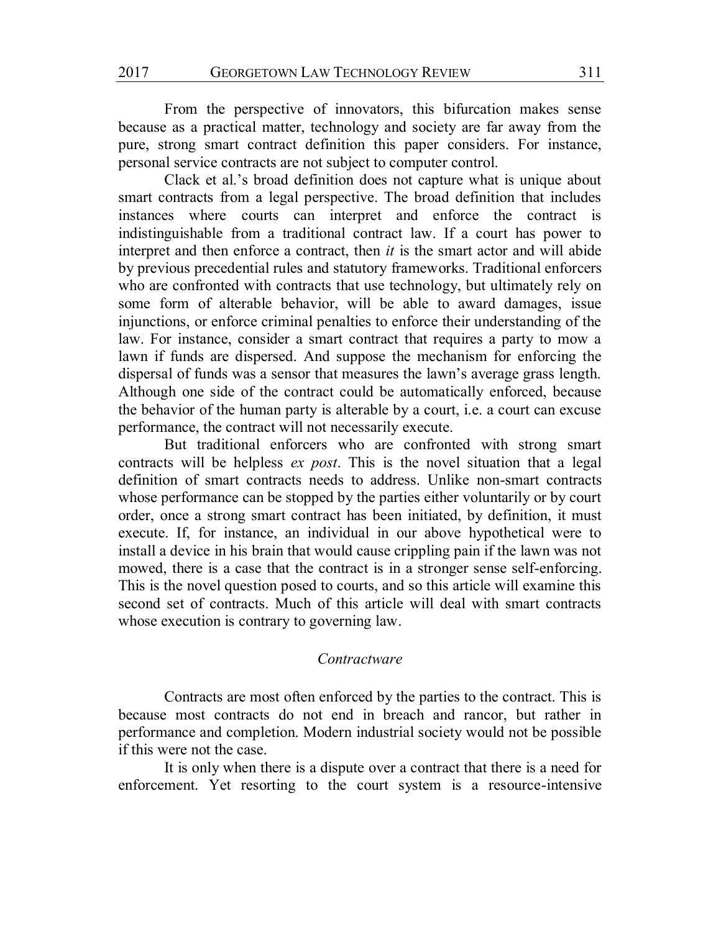From the perspective of innovators, this bifurcation makes sense because as a practical matter, technology and society are far away from the pure, strong smart contract definition this paper considers. For instance, personal service contracts are not subject to computer control.

Clack et al.'s broad definition does not capture what is unique about smart contracts from a legal perspective. The broad definition that includes instances where courts can interpret and enforce the contract is indistinguishable from a traditional contract law. If a court has power to interpret and then enforce a contract, then *it* is the smart actor and will abide by previous precedential rules and statutory frameworks. Traditional enforcers who are confronted with contracts that use technology, but ultimately rely on some form of alterable behavior, will be able to award damages, issue injunctions, or enforce criminal penalties to enforce their understanding of the law. For instance, consider a smart contract that requires a party to mow a lawn if funds are dispersed. And suppose the mechanism for enforcing the dispersal of funds was a sensor that measures the lawn's average grass length. Although one side of the contract could be automatically enforced, because the behavior of the human party is alterable by a court, i.e. a court can excuse performance, the contract will not necessarily execute.

But traditional enforcers who are confronted with strong smart contracts will be helpless *ex post*. This is the novel situation that a legal definition of smart contracts needs to address. Unlike non-smart contracts whose performance can be stopped by the parties either voluntarily or by court order, once a strong smart contract has been initiated, by definition, it must execute. If, for instance, an individual in our above hypothetical were to install a device in his brain that would cause crippling pain if the lawn was not mowed, there is a case that the contract is in a stronger sense self-enforcing. This is the novel question posed to courts, and so this article will examine this second set of contracts. Much of this article will deal with smart contracts whose execution is contrary to governing law.

#### *Contractware*

Contracts are most often enforced by the parties to the contract. This is because most contracts do not end in breach and rancor, but rather in performance and completion. Modern industrial society would not be possible if this were not the case.

It is only when there is a dispute over a contract that there is a need for enforcement. Yet resorting to the court system is a resource-intensive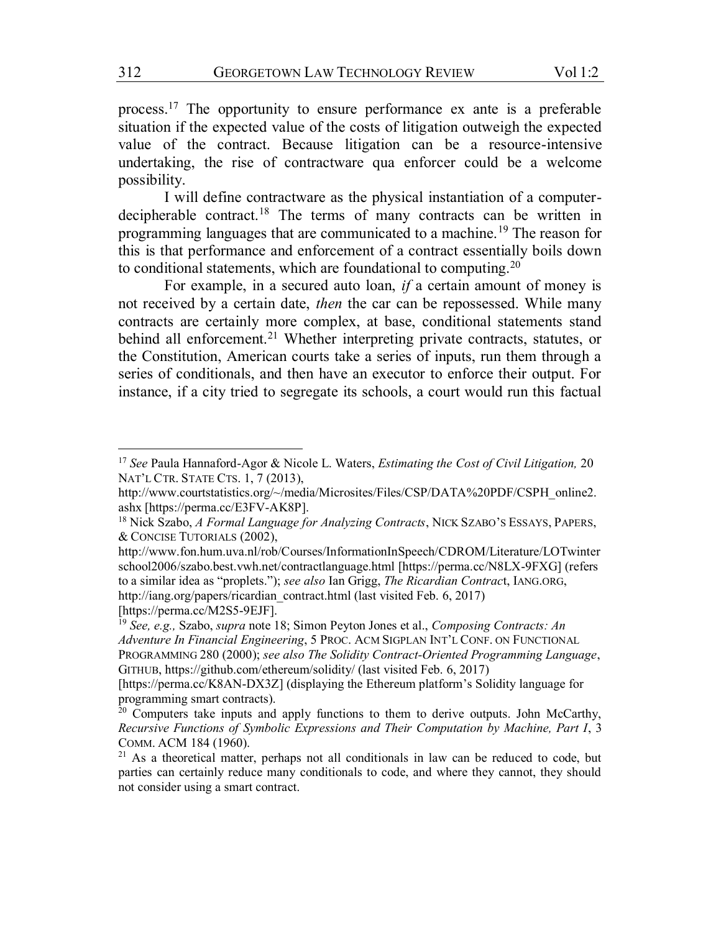process.17 The opportunity to ensure performance ex ante is a preferable situation if the expected value of the costs of litigation outweigh the expected value of the contract. Because litigation can be a resource-intensive undertaking, the rise of contractware qua enforcer could be a welcome possibility.

I will define contractware as the physical instantiation of a computerdecipherable contract.<sup>18</sup> The terms of many contracts can be written in programming languages that are communicated to a machine.19 The reason for this is that performance and enforcement of a contract essentially boils down to conditional statements, which are foundational to computing.<sup>20</sup>

For example, in a secured auto loan, *if* a certain amount of money is not received by a certain date, *then* the car can be repossessed. While many contracts are certainly more complex, at base, conditional statements stand behind all enforcement.<sup>21</sup> Whether interpreting private contracts, statutes, or the Constitution, American courts take a series of inputs, run them through a series of conditionals, and then have an executor to enforce their output. For instance, if a city tried to segregate its schools, a court would run this factual

 <sup>17</sup> *See* Paula Hannaford-Agor & Nicole L. Waters, *Estimating the Cost of Civil Litigation,* <sup>20</sup> NAT'L CTR. STATE CTS. 1, 7 (2013),

http://www.courtstatistics.org/~/media/Microsites/Files/CSP/DATA%20PDF/CSPH\_online2. ashx [https://perma.cc/E3FV-AK8P].

<sup>18</sup> Nick Szabo, *A Formal Language for Analyzing Contracts*, NICK SZABO'S ESSAYS, PAPERS, & CONCISE TUTORIALS (2002),

http://www.fon.hum.uva.nl/rob/Courses/InformationInSpeech/CDROM/Literature/LOTwinter school2006/szabo.best.vwh.net/contractlanguage.html [https://perma.cc/N8LX-9FXG] (refers to a similar idea as "proplets."); *see also* Ian Grigg, *The Ricardian Contrac*t, IANG.ORG, http://iang.org/papers/ricardian\_contract.html (last visited Feb. 6, 2017) [https://perma.cc/M2S5-9EJF].

<sup>19</sup> *See, e.g.,* Szabo, *supra* note 18; Simon Peyton Jones et al., *Composing Contracts: An Adventure In Financial Engineering*, 5 PROC. ACM SIGPLAN INT'L CONF. ON FUNCTIONAL PROGRAMMING 280 (2000); *see also The Solidity Contract-Oriented Programming Language*, GITHUB, https://github.com/ethereum/solidity/ (last visited Feb. 6, 2017)

<sup>[</sup>https://perma.cc/K8AN-DX3Z] (displaying the Ethereum platform's Solidity language for programming smart contracts).

 $20$  Computers take inputs and apply functions to them to derive outputs. John McCarthy, *Recursive Functions of Symbolic Expressions and Their Computation by Machine, Part I*, 3 COMM. ACM 184 (1960).

<sup>&</sup>lt;sup>21</sup> As a theoretical matter, perhaps not all conditionals in law can be reduced to code, but parties can certainly reduce many conditionals to code, and where they cannot, they should not consider using a smart contract.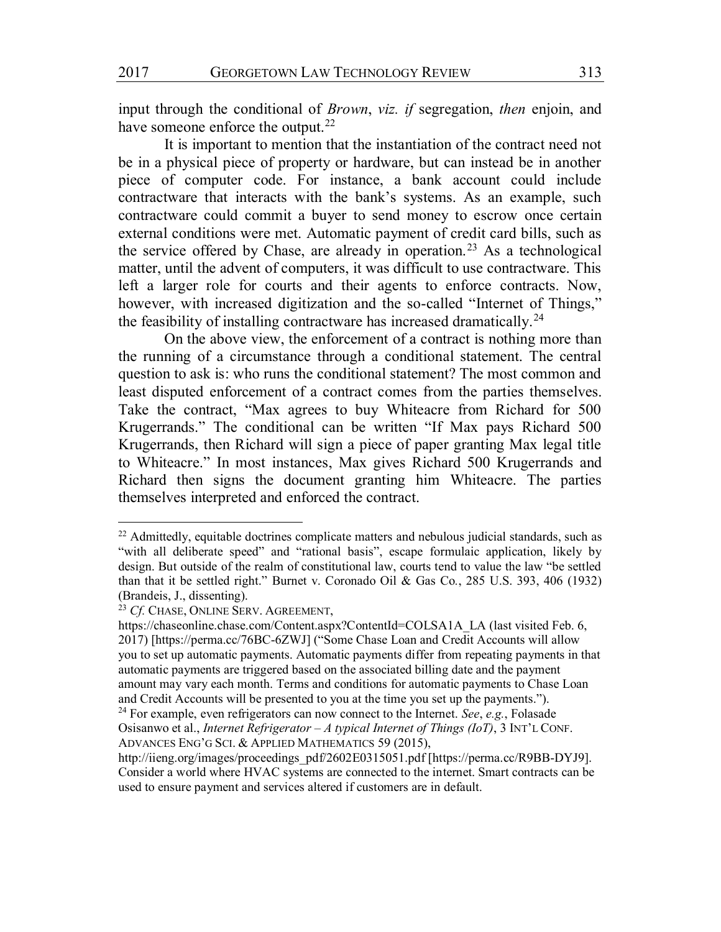input through the conditional of *Brown*, *viz. if* segregation, *then* enjoin, and have someone enforce the output.<sup>22</sup>

It is important to mention that the instantiation of the contract need not be in a physical piece of property or hardware, but can instead be in another piece of computer code. For instance, a bank account could include contractware that interacts with the bank's systems. As an example, such contractware could commit a buyer to send money to escrow once certain external conditions were met. Automatic payment of credit card bills, such as the service offered by Chase, are already in operation.<sup>23</sup> As a technological matter, until the advent of computers, it was difficult to use contractware. This left a larger role for courts and their agents to enforce contracts. Now, however, with increased digitization and the so-called "Internet of Things," the feasibility of installing contractware has increased dramatically.24

On the above view, the enforcement of a contract is nothing more than the running of a circumstance through a conditional statement. The central question to ask is: who runs the conditional statement? The most common and least disputed enforcement of a contract comes from the parties themselves. Take the contract, "Max agrees to buy Whiteacre from Richard for 500 Krugerrands." The conditional can be written "If Max pays Richard 500 Krugerrands, then Richard will sign a piece of paper granting Max legal title to Whiteacre." In most instances, Max gives Richard 500 Krugerrands and Richard then signs the document granting him Whiteacre. The parties themselves interpreted and enforced the contract.

 $22$  Admittedly, equitable doctrines complicate matters and nebulous judicial standards, such as "with all deliberate speed" and "rational basis", escape formulaic application, likely by design. But outside of the realm of constitutional law, courts tend to value the law "be settled than that it be settled right." Burnet v. Coronado Oil & Gas Co*.*, 285 U.S. 393, 406 (1932) (Brandeis, J., dissenting).

<sup>23</sup> *Cf.* CHASE, ONLINE SERV. AGREEMENT,

https://chaseonline.chase.com/Content.aspx?ContentId=COLSA1A\_LA (last visited Feb. 6, 2017) [https://perma.cc/76BC-6ZWJ] ("Some Chase Loan and Credit Accounts will allow you to set up automatic payments. Automatic payments differ from repeating payments in that automatic payments are triggered based on the associated billing date and the payment amount may vary each month. Terms and conditions for automatic payments to Chase Loan and Credit Accounts will be presented to you at the time you set up the payments.").

<sup>24</sup> For example, even refrigerators can now connect to the Internet. *See*, *e.g.*, Folasade Osisanwo et al., *Internet Refrigerator – A typical Internet of Things (IoT)*, 3 INT'L CONF. ADVANCES ENG'G SCI. & APPLIED MATHEMATICS 59 (2015),

http://iieng.org/images/proceedings\_pdf/2602E0315051.pdf [https://perma.cc/R9BB-DYJ9]. Consider a world where HVAC systems are connected to the internet. Smart contracts can be used to ensure payment and services altered if customers are in default.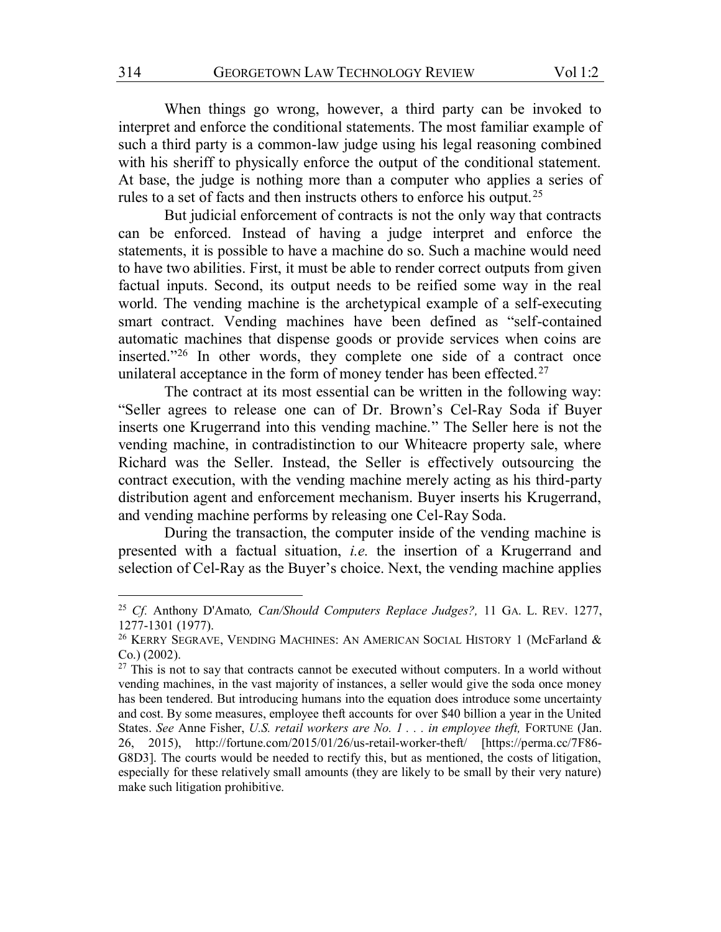When things go wrong, however, a third party can be invoked to interpret and enforce the conditional statements. The most familiar example of such a third party is a common-law judge using his legal reasoning combined with his sheriff to physically enforce the output of the conditional statement. At base, the judge is nothing more than a computer who applies a series of rules to a set of facts and then instructs others to enforce his output.<sup>25</sup>

But judicial enforcement of contracts is not the only way that contracts can be enforced. Instead of having a judge interpret and enforce the statements, it is possible to have a machine do so. Such a machine would need to have two abilities. First, it must be able to render correct outputs from given factual inputs. Second, its output needs to be reified some way in the real world. The vending machine is the archetypical example of a self-executing smart contract. Vending machines have been defined as "self-contained automatic machines that dispense goods or provide services when coins are inserted."<sup>26</sup> In other words, they complete one side of a contract once unilateral acceptance in the form of money tender has been effected.<sup>27</sup>

The contract at its most essential can be written in the following way: "Seller agrees to release one can of Dr. Brown's Cel-Ray Soda if Buyer inserts one Krugerrand into this vending machine." The Seller here is not the vending machine, in contradistinction to our Whiteacre property sale, where Richard was the Seller. Instead, the Seller is effectively outsourcing the contract execution, with the vending machine merely acting as his third-party distribution agent and enforcement mechanism. Buyer inserts his Krugerrand, and vending machine performs by releasing one Cel-Ray Soda.

During the transaction, the computer inside of the vending machine is presented with a factual situation, *i.e.* the insertion of a Krugerrand and selection of Cel-Ray as the Buyer's choice. Next, the vending machine applies

 <sup>25</sup> *Cf.* Anthony D'Amato*, Can/Should Computers Replace Judges?,* 11 GA. L. REV. 1277, 1277-1301 (1977).

<sup>&</sup>lt;sup>26</sup> KERRY SEGRAVE, VENDING MACHINES: AN AMERICAN SOCIAL HISTORY 1 (McFarland & Co.) (2002). 27 This is not to say that contracts cannot be executed without computers. In a world without

vending machines, in the vast majority of instances, a seller would give the soda once money has been tendered. But introducing humans into the equation does introduce some uncertainty and cost. By some measures, employee theft accounts for over \$40 billion a year in the United States. *See* Anne Fisher, *U.S. retail workers are No. 1 . . . in employee theft,* FORTUNE (Jan. 26, 2015), http://fortune.com/2015/01/26/us-retail-worker-theft/ [https://perma.cc/7F86- G8D3]. The courts would be needed to rectify this, but as mentioned, the costs of litigation, especially for these relatively small amounts (they are likely to be small by their very nature) make such litigation prohibitive.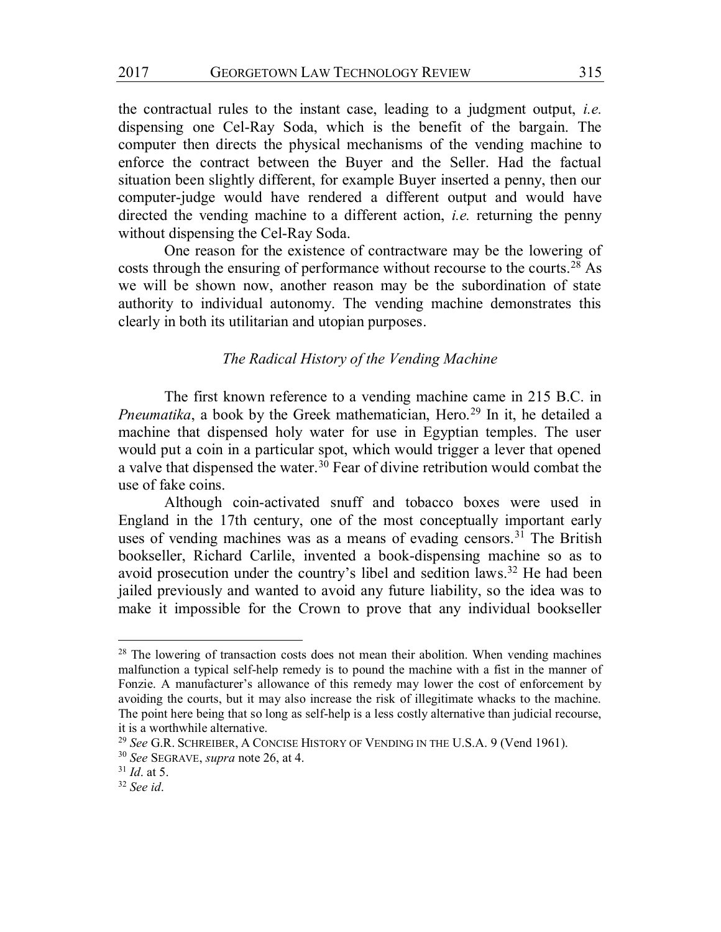the contractual rules to the instant case, leading to a judgment output, *i.e.* dispensing one Cel-Ray Soda, which is the benefit of the bargain. The computer then directs the physical mechanisms of the vending machine to enforce the contract between the Buyer and the Seller. Had the factual situation been slightly different, for example Buyer inserted a penny, then our computer-judge would have rendered a different output and would have directed the vending machine to a different action, *i.e.* returning the penny without dispensing the Cel-Ray Soda.

One reason for the existence of contractware may be the lowering of costs through the ensuring of performance without recourse to the courts.<sup>28</sup> As we will be shown now, another reason may be the subordination of state authority to individual autonomy. The vending machine demonstrates this clearly in both its utilitarian and utopian purposes.

# *The Radical History of the Vending Machine*

The first known reference to a vending machine came in 215 B.C. in *Pneumatika*, a book by the Greek mathematician, Hero.<sup>29</sup> In it, he detailed a machine that dispensed holy water for use in Egyptian temples. The user would put a coin in a particular spot, which would trigger a lever that opened a valve that dispensed the water.<sup>30</sup> Fear of divine retribution would combat the use of fake coins.

Although coin-activated snuff and tobacco boxes were used in England in the 17th century, one of the most conceptually important early uses of vending machines was as a means of evading censors.<sup>31</sup> The British bookseller, Richard Carlile, invented a book-dispensing machine so as to avoid prosecution under the country's libel and sedition laws.32 He had been jailed previously and wanted to avoid any future liability, so the idea was to make it impossible for the Crown to prove that any individual bookseller

<sup>&</sup>lt;sup>28</sup> The lowering of transaction costs does not mean their abolition. When vending machines malfunction a typical self-help remedy is to pound the machine with a fist in the manner of Fonzie. A manufacturer's allowance of this remedy may lower the cost of enforcement by avoiding the courts, but it may also increase the risk of illegitimate whacks to the machine. The point here being that so long as self-help is a less costly alternative than judicial recourse, it is a worthwhile alternative.

<sup>29</sup> *See* G.R. SCHREIBER, A CONCISE HISTORY OF VENDING IN THE U.S.A. 9 (Vend 1961).

<sup>30</sup> *See* SEGRAVE, *supra* note 26, at 4.

<sup>31</sup> *Id*. at 5.

<sup>32</sup> *See id*.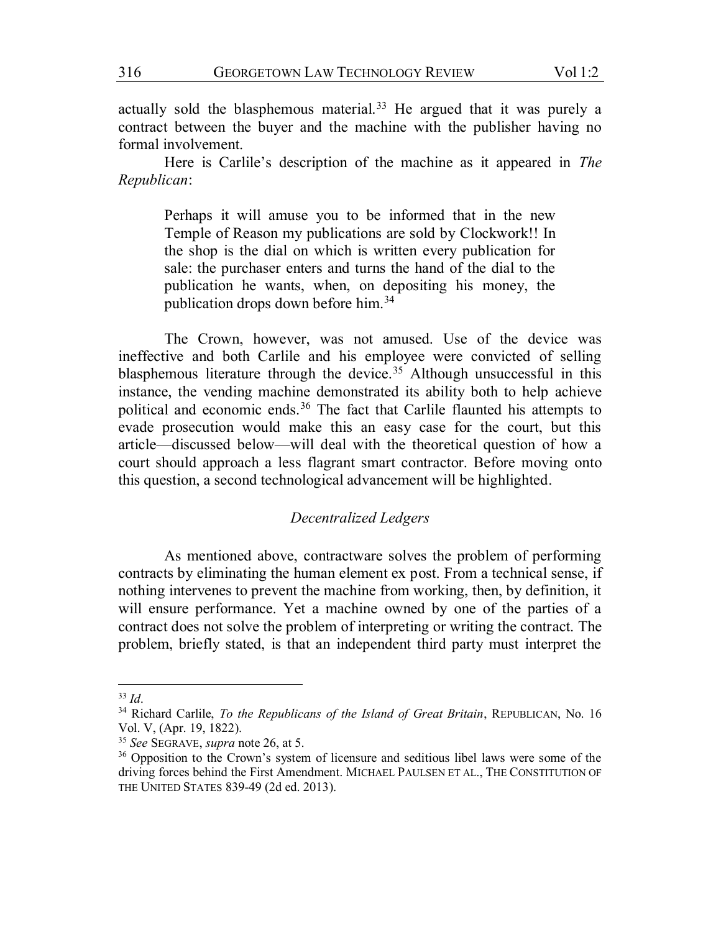actually sold the blasphemous material.<sup>33</sup> He argued that it was purely a contract between the buyer and the machine with the publisher having no formal involvement.

Here is Carlile's description of the machine as it appeared in *The Republican*:

Perhaps it will amuse you to be informed that in the new Temple of Reason my publications are sold by Clockwork!! In the shop is the dial on which is written every publication for sale: the purchaser enters and turns the hand of the dial to the publication he wants, when, on depositing his money, the publication drops down before him.34

The Crown, however, was not amused. Use of the device was ineffective and both Carlile and his employee were convicted of selling blasphemous literature through the device.<sup>35</sup> Although unsuccessful in this instance, the vending machine demonstrated its ability both to help achieve political and economic ends.36 The fact that Carlile flaunted his attempts to evade prosecution would make this an easy case for the court, but this article—discussed below—will deal with the theoretical question of how a court should approach a less flagrant smart contractor. Before moving onto this question, a second technological advancement will be highlighted.

## *Decentralized Ledgers*

As mentioned above, contractware solves the problem of performing contracts by eliminating the human element ex post. From a technical sense, if nothing intervenes to prevent the machine from working, then, by definition, it will ensure performance. Yet a machine owned by one of the parties of a contract does not solve the problem of interpreting or writing the contract. The problem, briefly stated, is that an independent third party must interpret the

 <sup>33</sup> *Id*.

<sup>34</sup> Richard Carlile, *To the Republicans of the Island of Great Britain*, REPUBLICAN, No. 16 Vol. V, (Apr. 19, 1822).

<sup>35</sup> *See* SEGRAVE, *supra* note 26, at 5.

<sup>&</sup>lt;sup>36</sup> Opposition to the Crown's system of licensure and seditious libel laws were some of the driving forces behind the First Amendment. MICHAEL PAULSEN ET AL., THE CONSTITUTION OF THE UNITED STATES 839-49 (2d ed. 2013).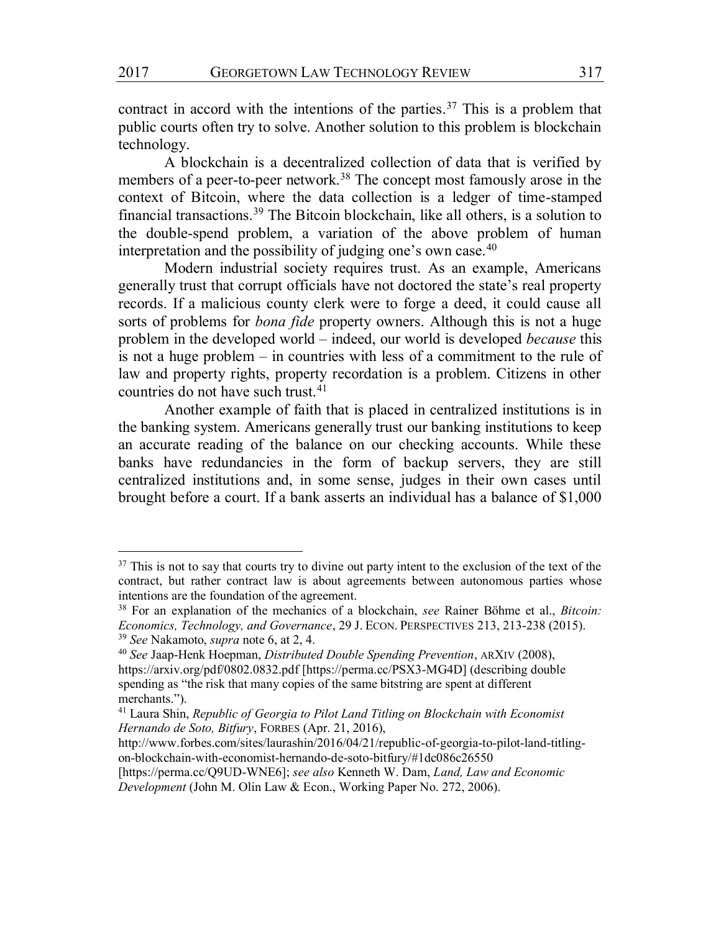contract in accord with the intentions of the parties.<sup>37</sup> This is a problem that public courts often try to solve. Another solution to this problem is blockchain technology.

A blockchain is a decentralized collection of data that is verified by members of a peer-to-peer network.<sup>38</sup> The concept most famously arose in the context of Bitcoin, where the data collection is a ledger of time-stamped financial transactions.39 The Bitcoin blockchain, like all others, is a solution to the double-spend problem, a variation of the above problem of human interpretation and the possibility of judging one's own case.<sup>40</sup>

Modern industrial society requires trust. As an example, Americans generally trust that corrupt officials have not doctored the state's real property records. If a malicious county clerk were to forge a deed, it could cause all sorts of problems for *bona fide* property owners. Although this is not a huge problem in the developed world – indeed, our world is developed *because* this is not a huge problem – in countries with less of a commitment to the rule of law and property rights, property recordation is a problem. Citizens in other countries do not have such trust.<sup>41</sup>

Another example of faith that is placed in centralized institutions is in the banking system. Americans generally trust our banking institutions to keep an accurate reading of the balance on our checking accounts. While these banks have redundancies in the form of backup servers, they are still centralized institutions and, in some sense, judges in their own cases until brought before a court. If a bank asserts an individual has a balance of \$1,000

<sup>&</sup>lt;sup>37</sup> This is not to say that courts try to divine out party intent to the exclusion of the text of the contract, but rather contract law is about agreements between autonomous parties whose intentions are the foundation of the agreement.

<sup>38</sup> For an explanation of the mechanics of a blockchain, *see* Rainer Bohme et al., *Bitcoin: Economics, Technology, and Governance*, 29 J. ECON. PERSPECTIVES 213, 213-238 (2015). <sup>39</sup> *See* Nakamoto, *supra* note 6, at 2, 4.

<sup>40</sup> *See* Jaap-Henk Hoepman, *Distributed Double Spending Prevention*, ARXIV (2008), https://arxiv.org/pdf/0802.0832.pdf [https://perma.cc/PSX3-MG4D] (describing double spending as "the risk that many copies of the same bitstring are spent at different merchants.").

<sup>41</sup> Laura Shin, *Republic of Georgia to Pilot Land Titling on Blockchain with Economist Hernando de Soto, Bitfury*, FORBES (Apr. 21, 2016),

http://www.forbes.com/sites/laurashin/2016/04/21/republic-of-georgia-to-pilot-land-titlingon-blockchain-with-economist-hernando-de-soto-bitfury/#1dc086c26550

<sup>[</sup>https://perma.cc/Q9UD-WNE6]; *see also* Kenneth W. Dam, *Land, Law and Economic Development* (John M. Olin Law & Econ., Working Paper No. 272, 2006).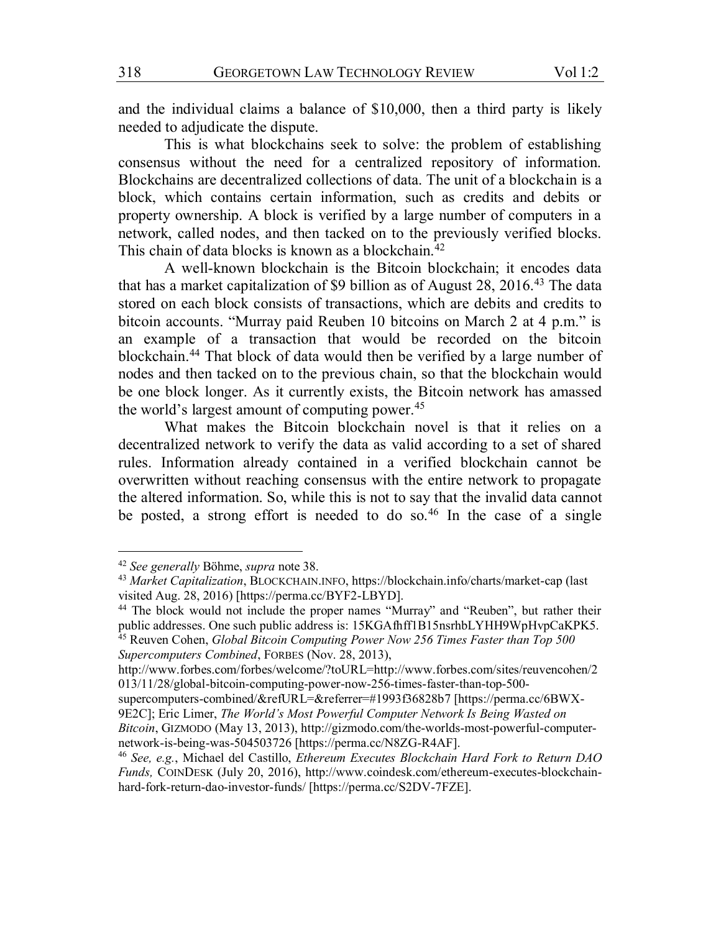and the individual claims a balance of \$10,000, then a third party is likely needed to adjudicate the dispute.

This is what blockchains seek to solve: the problem of establishing consensus without the need for a centralized repository of information. Blockchains are decentralized collections of data. The unit of a blockchain is a block, which contains certain information, such as credits and debits or property ownership. A block is verified by a large number of computers in a network, called nodes, and then tacked on to the previously verified blocks. This chain of data blocks is known as a blockchain.<sup>42</sup>

A well-known blockchain is the Bitcoin blockchain; it encodes data that has a market capitalization of \$9 billion as of August 28, 2016.<sup>43</sup> The data stored on each block consists of transactions, which are debits and credits to bitcoin accounts. "Murray paid Reuben 10 bitcoins on March 2 at 4 p.m." is an example of a transaction that would be recorded on the bitcoin blockchain.44 That block of data would then be verified by a large number of nodes and then tacked on to the previous chain, so that the blockchain would be one block longer. As it currently exists, the Bitcoin network has amassed the world's largest amount of computing power.<sup>45</sup>

What makes the Bitcoin blockchain novel is that it relies on a decentralized network to verify the data as valid according to a set of shared rules. Information already contained in a verified blockchain cannot be overwritten without reaching consensus with the entire network to propagate the altered information. So, while this is not to say that the invalid data cannot be posted, a strong effort is needed to do so.<sup>46</sup> In the case of a single

 <sup>42</sup> *See generally* Bohme, *supra* note 38.

<sup>43</sup> *Market Capitalization*, BLOCKCHAIN.INFO, https://blockchain.info/charts/market-cap (last visited Aug. 28, 2016) [https://perma.cc/BYF2-LBYD].

<sup>44</sup> The block would not include the proper names "Murray" and "Reuben", but rather their public addresses. One such public address is: 15KGAfhff1B15nsrhbLYHH9WpHvpCaKPK5.

<sup>45</sup> Reuven Cohen, *Global Bitcoin Computing Power Now 256 Times Faster than Top 500 Supercomputers Combined*, FORBES (Nov. 28, 2013),

http://www.forbes.com/forbes/welcome/?toURL=http://www.forbes.com/sites/reuvencohen/2 013/11/28/global-bitcoin-computing-power-now-256-times-faster-than-top-500-

supercomputers-combined/&refURL=&referrer=#1993f36828b7 [https://perma.cc/6BWX-9E2C]; Eric Limer, *The World's Most Powerful Computer Network Is Being Wasted on Bitcoin*, GIZMODO (May 13, 2013), http://gizmodo.com/the-worlds-most-powerful-computernetwork-is-being-was-504503726 [https://perma.cc/N8ZG-R4AF].

<sup>46</sup> *See, e.g.*, Michael del Castillo, *Ethereum Executes Blockchain Hard Fork to Return DAO Funds,* COINDESK (July 20, 2016), http://www.coindesk.com/ethereum-executes-blockchainhard-fork-return-dao-investor-funds/ [https://perma.cc/S2DV-7FZE].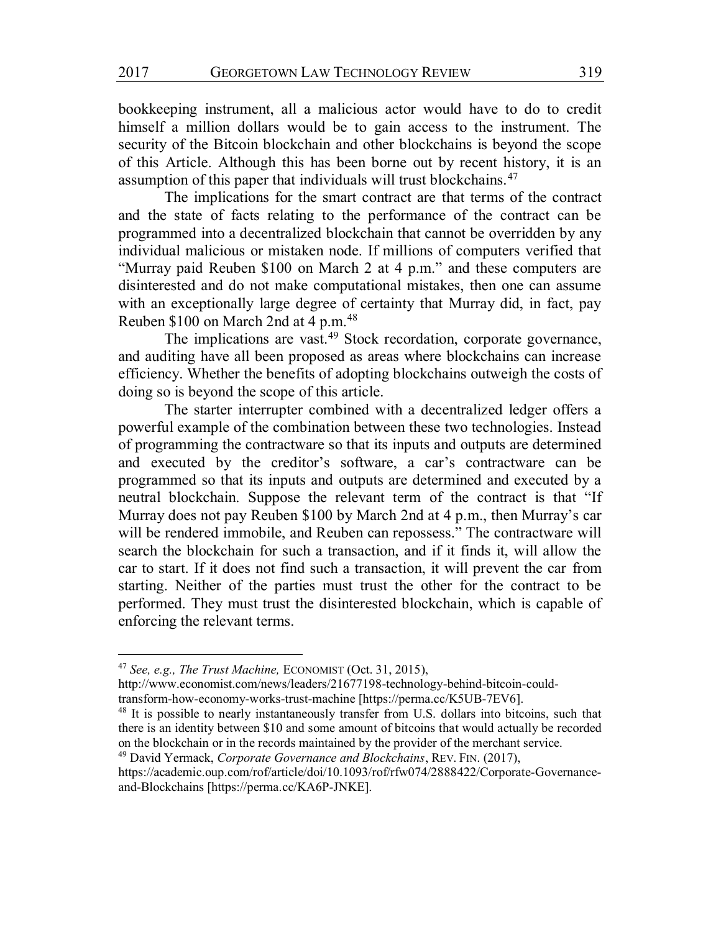bookkeeping instrument, all a malicious actor would have to do to credit himself a million dollars would be to gain access to the instrument. The security of the Bitcoin blockchain and other blockchains is beyond the scope of this Article. Although this has been borne out by recent history, it is an assumption of this paper that individuals will trust blockchains.47

The implications for the smart contract are that terms of the contract and the state of facts relating to the performance of the contract can be programmed into a decentralized blockchain that cannot be overridden by any individual malicious or mistaken node. If millions of computers verified that "Murray paid Reuben \$100 on March 2 at 4 p.m." and these computers are disinterested and do not make computational mistakes, then one can assume with an exceptionally large degree of certainty that Murray did, in fact, pay Reuben \$100 on March 2nd at 4 p.m.48

The implications are vast.<sup>49</sup> Stock recordation, corporate governance, and auditing have all been proposed as areas where blockchains can increase efficiency. Whether the benefits of adopting blockchains outweigh the costs of doing so is beyond the scope of this article.

The starter interrupter combined with a decentralized ledger offers a powerful example of the combination between these two technologies. Instead of programming the contractware so that its inputs and outputs are determined and executed by the creditor's software, a car's contractware can be programmed so that its inputs and outputs are determined and executed by a neutral blockchain. Suppose the relevant term of the contract is that "If Murray does not pay Reuben \$100 by March 2nd at 4 p.m., then Murray's car will be rendered immobile, and Reuben can repossess." The contractware will search the blockchain for such a transaction, and if it finds it, will allow the car to start. If it does not find such a transaction, it will prevent the car from starting. Neither of the parties must trust the other for the contract to be performed. They must trust the disinterested blockchain, which is capable of enforcing the relevant terms.

 <sup>47</sup> *See, e.g., The Trust Machine,* ECONOMIST (Oct. 31, 2015),

http://www.economist.com/news/leaders/21677198-technology-behind-bitcoin-couldtransform-how-economy-works-trust-machine [https://perma.cc/K5UB-7EV6].

<sup>&</sup>lt;sup>48</sup> It is possible to nearly instantaneously transfer from U.S. dollars into bitcoins, such that there is an identity between \$10 and some amount of bitcoins that would actually be recorded on the blockchain or in the records maintained by the provider of the merchant service.

<sup>49</sup> David Yermack, *Corporate Governance and Blockchains*, REV. FIN. (2017),

https://academic.oup.com/rof/article/doi/10.1093/rof/rfw074/2888422/Corporate-Governanceand-Blockchains [https://perma.cc/KA6P-JNKE].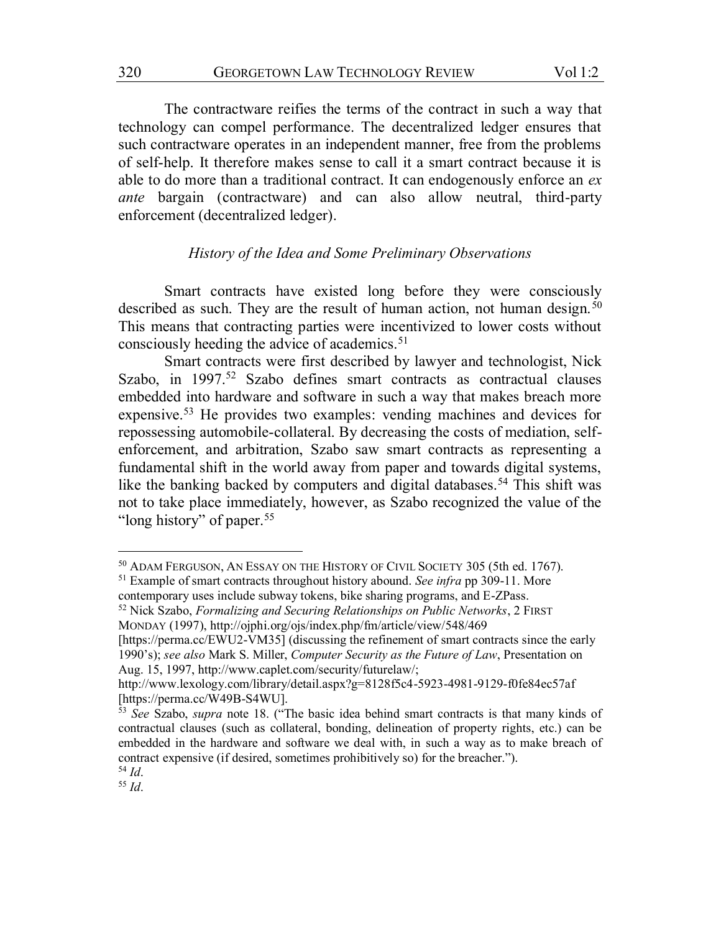The contractware reifies the terms of the contract in such a way that technology can compel performance. The decentralized ledger ensures that such contractware operates in an independent manner, free from the problems of self-help. It therefore makes sense to call it a smart contract because it is able to do more than a traditional contract. It can endogenously enforce an *ex ante* bargain (contractware) and can also allow neutral, third-party enforcement (decentralized ledger).

# *History of the Idea and Some Preliminary Observations*

Smart contracts have existed long before they were consciously described as such. They are the result of human action, not human design.<sup>50</sup> This means that contracting parties were incentivized to lower costs without consciously heeding the advice of academics.<sup>51</sup>

Smart contracts were first described by lawyer and technologist, Nick Szabo, in 1997.<sup>52</sup> Szabo defines smart contracts as contractual clauses embedded into hardware and software in such a way that makes breach more expensive.53 He provides two examples: vending machines and devices for repossessing automobile-collateral. By decreasing the costs of mediation, selfenforcement, and arbitration, Szabo saw smart contracts as representing a fundamental shift in the world away from paper and towards digital systems, like the banking backed by computers and digital databases.<sup>54</sup> This shift was not to take place immediately, however, as Szabo recognized the value of the "long history" of paper.<sup>55</sup>

 <sup>50</sup> ADAM FERGUSON, AN ESSAY ON THE HISTORY OF CIVIL SOCIETY 305 (5th ed. 1767).

<sup>51</sup> Example of smart contracts throughout history abound. *See infra* pp 309-11. More contemporary uses include subway tokens, bike sharing programs, and E-ZPass.

<sup>52</sup> Nick Szabo, *Formalizing and Securing Relationships on Public Networks*, 2 FIRST MONDAY (1997), http://ojphi.org/ojs/index.php/fm/article/view/548/469

<sup>[</sup>https://perma.cc/EWU2-VM35] (discussing the refinement of smart contracts since the early 1990's); *see also* Mark S. Miller, *Computer Security as the Future of Law*, Presentation on Aug. 15, 1997, http://www.caplet.com/security/futurelaw/;

http://www.lexology.com/library/detail.aspx?g=8128f5c4-5923-4981-9129-f0fe84ec57af [https://perma.cc/W49B-S4WU].

<sup>53</sup> *See* Szabo, *supra* note 18. ("The basic idea behind smart contracts is that many kinds of contractual clauses (such as collateral, bonding, delineation of property rights, etc.) can be embedded in the hardware and software we deal with, in such a way as to make breach of contract expensive (if desired, sometimes prohibitively so) for the breacher."). <sup>54</sup> *Id*.

<sup>55</sup> *Id*.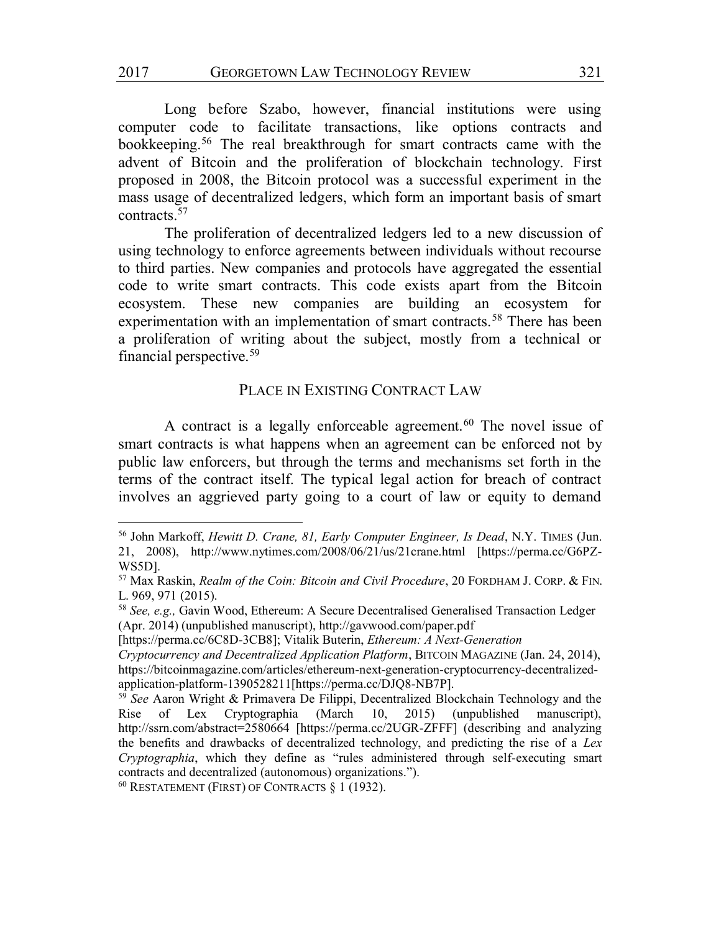2017 GEORGETOWN LAW TECHNOLOGY REVIEW 321

Long before Szabo, however, financial institutions were using computer code to facilitate transactions, like options contracts and bookkeeping.56 The real breakthrough for smart contracts came with the advent of Bitcoin and the proliferation of blockchain technology. First proposed in 2008, the Bitcoin protocol was a successful experiment in the mass usage of decentralized ledgers, which form an important basis of smart contracts.57

The proliferation of decentralized ledgers led to a new discussion of using technology to enforce agreements between individuals without recourse to third parties. New companies and protocols have aggregated the essential code to write smart contracts. This code exists apart from the Bitcoin ecosystem. These new companies are building an ecosystem for experimentation with an implementation of smart contracts.<sup>58</sup> There has been a proliferation of writing about the subject, mostly from a technical or financial perspective.59

# PLACE IN EXISTING CONTRACT LAW

A contract is a legally enforceable agreement.<sup>60</sup> The novel issue of smart contracts is what happens when an agreement can be enforced not by public law enforcers, but through the terms and mechanisms set forth in the terms of the contract itself. The typical legal action for breach of contract involves an aggrieved party going to a court of law or equity to demand

 <sup>56</sup> John Markoff, *Hewitt D. Crane, 81, Early Computer Engineer, Is Dead*, N.Y. TIMES (Jun. 21, 2008), http://www.nytimes.com/2008/06/21/us/21crane.html [https://perma.cc/G6PZ-WS5D].

<sup>57</sup> Max Raskin, *Realm of the Coin: Bitcoin and Civil Procedure*, 20 FORDHAM J. CORP. & FIN. L. 969, 971 (2015).

<sup>58</sup> *See, e.g.,* Gavin Wood, Ethereum: A Secure Decentralised Generalised Transaction Ledger (Apr. 2014) (unpublished manuscript), http://gavwood.com/paper.pdf

<sup>[</sup>https://perma.cc/6C8D-3CB8]; Vitalik Buterin, *Ethereum: A Next-Generation* 

*Cryptocurrency and Decentralized Application Platform*, BITCOIN MAGAZINE (Jan. 24, 2014), https://bitcoinmagazine.com/articles/ethereum-next-generation-cryptocurrency-decentralizedapplication-platform-1390528211[https://perma.cc/DJQ8-NB7P].

<sup>59</sup> *See* Aaron Wright & Primavera De Filippi, Decentralized Blockchain Technology and the Rise of Lex Cryptographia (March 10, 2015) (unpublished manuscript), http://ssrn.com/abstract=2580664 [https://perma.cc/2UGR-ZFFF] (describing and analyzing the benefits and drawbacks of decentralized technology, and predicting the rise of a *Lex Cryptographia*, which they define as "rules administered through self-executing smart contracts and decentralized (autonomous) organizations.").

<sup>60</sup> RESTATEMENT (FIRST) OF CONTRACTS § 1 (1932).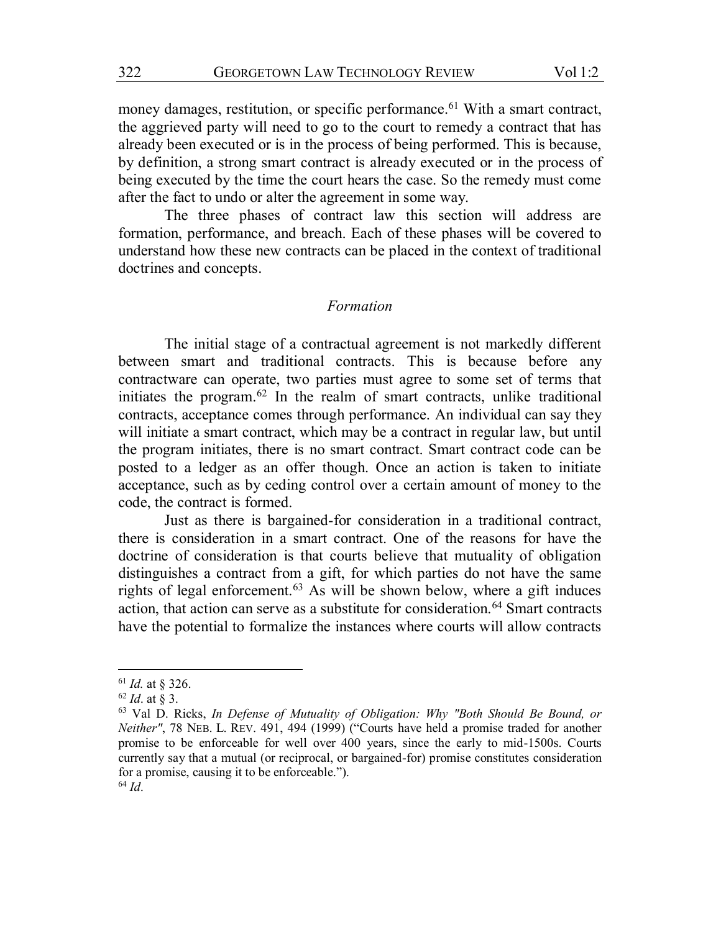money damages, restitution, or specific performance.<sup>61</sup> With a smart contract, the aggrieved party will need to go to the court to remedy a contract that has already been executed or is in the process of being performed. This is because, by definition, a strong smart contract is already executed or in the process of being executed by the time the court hears the case. So the remedy must come after the fact to undo or alter the agreement in some way.

The three phases of contract law this section will address are formation, performance, and breach. Each of these phases will be covered to understand how these new contracts can be placed in the context of traditional doctrines and concepts.

#### *Formation*

The initial stage of a contractual agreement is not markedly different between smart and traditional contracts. This is because before any contractware can operate, two parties must agree to some set of terms that initiates the program.62 In the realm of smart contracts, unlike traditional contracts, acceptance comes through performance. An individual can say they will initiate a smart contract, which may be a contract in regular law, but until the program initiates, there is no smart contract. Smart contract code can be posted to a ledger as an offer though. Once an action is taken to initiate acceptance, such as by ceding control over a certain amount of money to the code, the contract is formed.

Just as there is bargained-for consideration in a traditional contract, there is consideration in a smart contract. One of the reasons for have the doctrine of consideration is that courts believe that mutuality of obligation distinguishes a contract from a gift, for which parties do not have the same rights of legal enforcement.63 As will be shown below, where a gift induces action, that action can serve as a substitute for consideration.<sup>64</sup> Smart contracts have the potential to formalize the instances where courts will allow contracts

 <sup>61</sup> *Id.* at § 326.

<sup>62</sup> *Id*. at § 3.

<sup>63</sup> Val D. Ricks, *In Defense of Mutuality of Obligation: Why "Both Should Be Bound, or Neither"*, 78 NEB. L. REV. 491, 494 (1999) ("Courts have held a promise traded for another promise to be enforceable for well over 400 years, since the early to mid-1500s. Courts currently say that a mutual (or reciprocal, or bargained-for) promise constitutes consideration for a promise, causing it to be enforceable.").

<sup>64</sup> *Id*.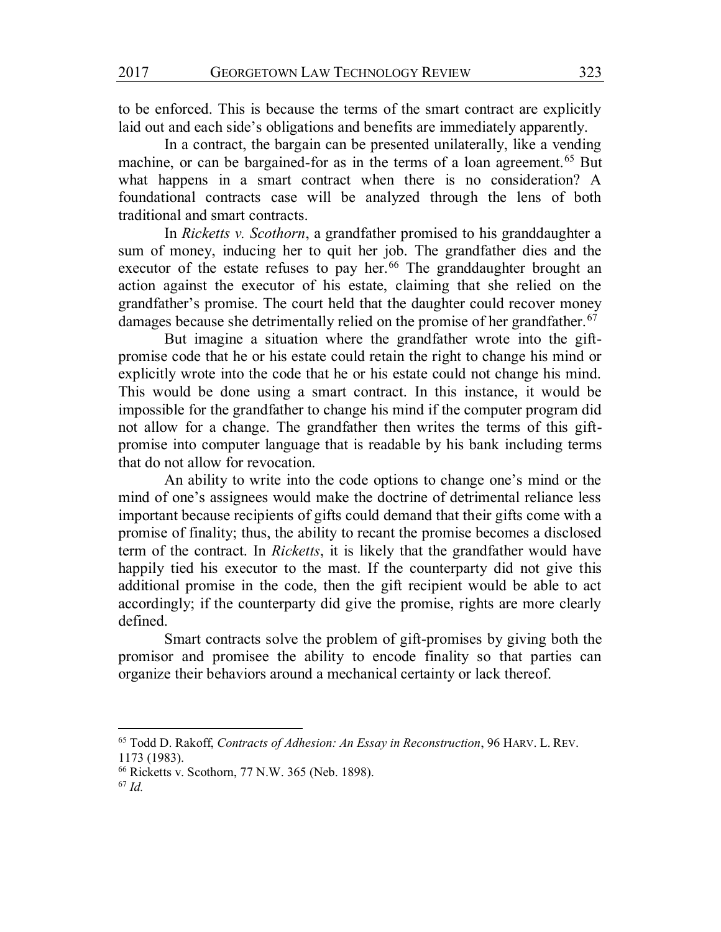to be enforced. This is because the terms of the smart contract are explicitly laid out and each side's obligations and benefits are immediately apparently.

In a contract, the bargain can be presented unilaterally, like a vending machine, or can be bargained-for as in the terms of a loan agreement.<sup>65</sup> But what happens in a smart contract when there is no consideration? A foundational contracts case will be analyzed through the lens of both traditional and smart contracts.

In *Ricketts v. Scothorn*, a grandfather promised to his granddaughter a sum of money, inducing her to quit her job. The grandfather dies and the executor of the estate refuses to pay her.<sup>66</sup> The granddaughter brought an action against the executor of his estate, claiming that she relied on the grandfather's promise. The court held that the daughter could recover money damages because she detrimentally relied on the promise of her grandfather.<sup>67</sup>

But imagine a situation where the grandfather wrote into the giftpromise code that he or his estate could retain the right to change his mind or explicitly wrote into the code that he or his estate could not change his mind. This would be done using a smart contract. In this instance, it would be impossible for the grandfather to change his mind if the computer program did not allow for a change. The grandfather then writes the terms of this giftpromise into computer language that is readable by his bank including terms that do not allow for revocation.

An ability to write into the code options to change one's mind or the mind of one's assignees would make the doctrine of detrimental reliance less important because recipients of gifts could demand that their gifts come with a promise of finality; thus, the ability to recant the promise becomes a disclosed term of the contract. In *Ricketts*, it is likely that the grandfather would have happily tied his executor to the mast. If the counterparty did not give this additional promise in the code, then the gift recipient would be able to act accordingly; if the counterparty did give the promise, rights are more clearly defined.

Smart contracts solve the problem of gift-promises by giving both the promisor and promisee the ability to encode finality so that parties can organize their behaviors around a mechanical certainty or lack thereof.

 <sup>65</sup> Todd D. Rakoff, *Contracts of Adhesion: An Essay in Reconstruction*, 96 HARV. L. REV. 1173 (1983).

<sup>66</sup> Ricketts v. Scothorn, 77 N.W. 365 (Neb. 1898).

<sup>67</sup> *Id.*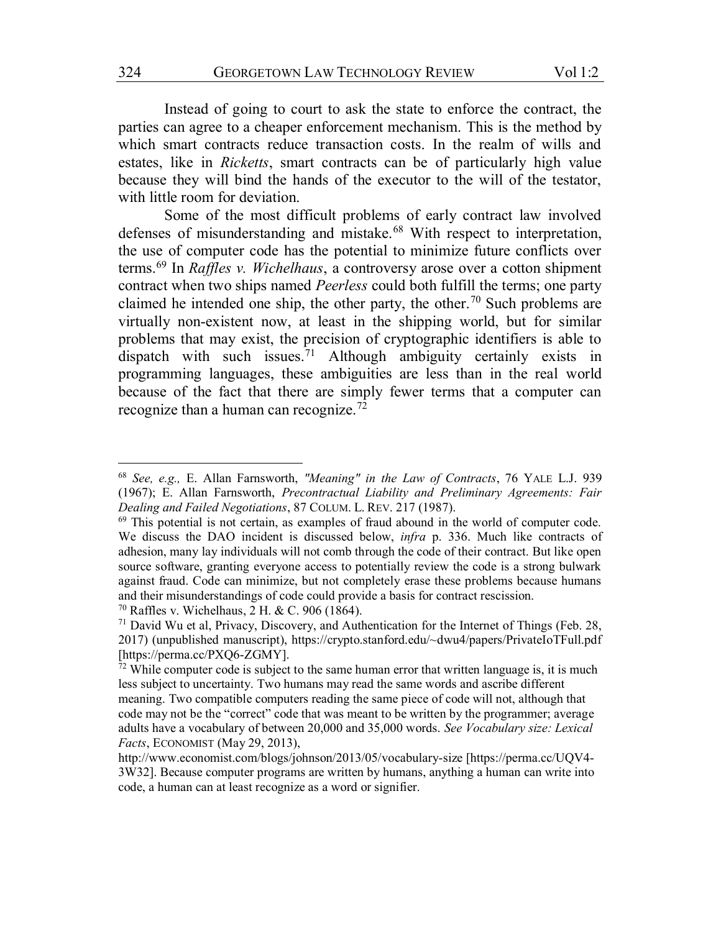Instead of going to court to ask the state to enforce the contract, the parties can agree to a cheaper enforcement mechanism. This is the method by which smart contracts reduce transaction costs. In the realm of wills and estates, like in *Ricketts*, smart contracts can be of particularly high value because they will bind the hands of the executor to the will of the testator, with little room for deviation.

Some of the most difficult problems of early contract law involved defenses of misunderstanding and mistake.<sup>68</sup> With respect to interpretation, the use of computer code has the potential to minimize future conflicts over terms.69 In *Raffles v. Wichelhaus*, a controversy arose over a cotton shipment contract when two ships named *Peerless* could both fulfill the terms; one party claimed he intended one ship, the other party, the other.<sup>70</sup> Such problems are virtually non-existent now, at least in the shipping world, but for similar problems that may exist, the precision of cryptographic identifiers is able to dispatch with such issues.<sup>71</sup> Although ambiguity certainly exists in programming languages, these ambiguities are less than in the real world because of the fact that there are simply fewer terms that a computer can recognize than a human can recognize.72

 <sup>68</sup> *See, e.g.,* E. Allan Farnsworth, *"Meaning" in the Law of Contracts*, 76 YALE L.J. 939 (1967); E. Allan Farnsworth, *Precontractual Liability and Preliminary Agreements: Fair Dealing and Failed Negotiations*, 87 COLUM. L. REV. 217 (1987).

<sup>69</sup> This potential is not certain, as examples of fraud abound in the world of computer code. We discuss the DAO incident is discussed below, *infra* p. 336. Much like contracts of adhesion, many lay individuals will not comb through the code of their contract. But like open source software, granting everyone access to potentially review the code is a strong bulwark against fraud. Code can minimize, but not completely erase these problems because humans and their misunderstandings of code could provide a basis for contract rescission. <sup>70</sup> Raffles v. Wichelhaus, 2 H. & C. 906 (1864).

<sup>71</sup> David Wu et al, Privacy, Discovery, and Authentication for the Internet of Things (Feb. 28, 2017) (unpublished manuscript), https://crypto.stanford.edu/~dwu4/papers/PrivateIoTFull.pdf [https://perma.cc/PXQ6-ZGMY].

 $72$  While computer code is subject to the same human error that written language is, it is much less subject to uncertainty. Two humans may read the same words and ascribe different meaning. Two compatible computers reading the same piece of code will not, although that code may not be the "correct" code that was meant to be written by the programmer; average adults have a vocabulary of between 20,000 and 35,000 words. *See Vocabulary size: Lexical Facts*, ECONOMIST (May 29, 2013),

http://www.economist.com/blogs/johnson/2013/05/vocabulary-size [https://perma.cc/UQV4- 3W32]. Because computer programs are written by humans, anything a human can write into code, a human can at least recognize as a word or signifier.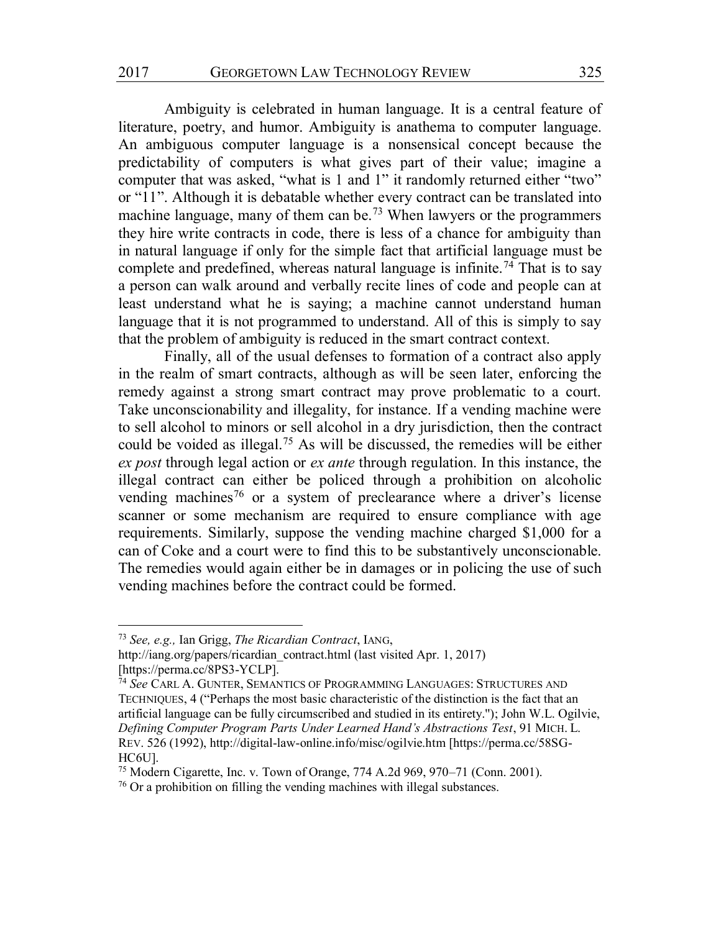Ambiguity is celebrated in human language. It is a central feature of literature, poetry, and humor. Ambiguity is anathema to computer language. An ambiguous computer language is a nonsensical concept because the predictability of computers is what gives part of their value; imagine a computer that was asked, "what is 1 and 1" it randomly returned either "two" or "11". Although it is debatable whether every contract can be translated into machine language, many of them can be.73 When lawyers or the programmers they hire write contracts in code, there is less of a chance for ambiguity than in natural language if only for the simple fact that artificial language must be complete and predefined, whereas natural language is infinite.<sup>74</sup> That is to say a person can walk around and verbally recite lines of code and people can at least understand what he is saying; a machine cannot understand human language that it is not programmed to understand. All of this is simply to say that the problem of ambiguity is reduced in the smart contract context.

Finally, all of the usual defenses to formation of a contract also apply in the realm of smart contracts, although as will be seen later, enforcing the remedy against a strong smart contract may prove problematic to a court. Take unconscionability and illegality, for instance. If a vending machine were to sell alcohol to minors or sell alcohol in a dry jurisdiction, then the contract could be voided as illegal.75 As will be discussed, the remedies will be either *ex post* through legal action or *ex ante* through regulation. In this instance, the illegal contract can either be policed through a prohibition on alcoholic vending machines<sup>76</sup> or a system of preclearance where a driver's license scanner or some mechanism are required to ensure compliance with age requirements. Similarly, suppose the vending machine charged \$1,000 for a can of Coke and a court were to find this to be substantively unconscionable. The remedies would again either be in damages or in policing the use of such vending machines before the contract could be formed.

 <sup>73</sup> *See, e.g.,* Ian Grigg, *The Ricardian Contract*, IANG,

http://iang.org/papers/ricardian\_contract.html (last visited Apr. 1, 2017) [https://perma.cc/8PS3-YCLP].

<sup>74</sup> *See* CARL A. GUNTER, SEMANTICS OF PROGRAMMING LANGUAGES: STRUCTURES AND TECHNIQUES, 4 ("Perhaps the most basic characteristic of the distinction is the fact that an artificial language can be fully circumscribed and studied in its entirety.''); John W.L. Ogilvie, *Defining Computer Program Parts Under Learned Hand's Abstractions Test*, 91 MICH. L. REV. 526 (1992), http://digital-law-online.info/misc/ogilvie.htm [https://perma.cc/58SG-HC6U].

<sup>75</sup> Modern Cigarette, Inc. v. Town of Orange, 774 A.2d 969, 970–71 (Conn. 2001).

<sup>76</sup> Or a prohibition on filling the vending machines with illegal substances.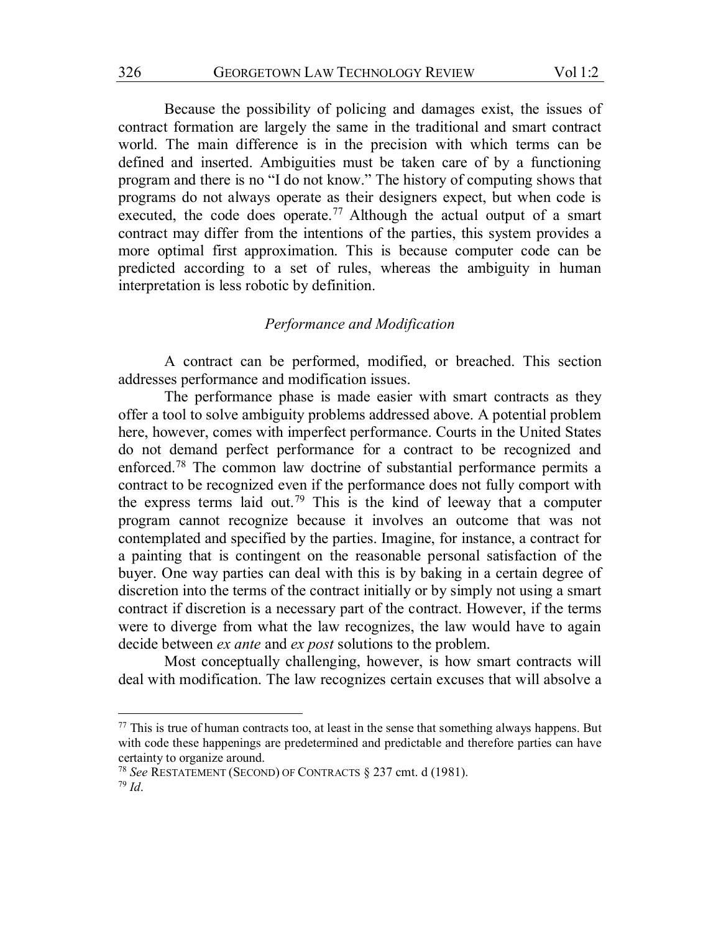Because the possibility of policing and damages exist, the issues of contract formation are largely the same in the traditional and smart contract world. The main difference is in the precision with which terms can be defined and inserted. Ambiguities must be taken care of by a functioning program and there is no "I do not know." The history of computing shows that programs do not always operate as their designers expect, but when code is executed, the code does operate.<sup>77</sup> Although the actual output of a smart contract may differ from the intentions of the parties, this system provides a more optimal first approximation. This is because computer code can be predicted according to a set of rules, whereas the ambiguity in human interpretation is less robotic by definition.

## *Performance and Modification*

A contract can be performed, modified, or breached. This section addresses performance and modification issues.

The performance phase is made easier with smart contracts as they offer a tool to solve ambiguity problems addressed above. A potential problem here, however, comes with imperfect performance. Courts in the United States do not demand perfect performance for a contract to be recognized and enforced.78 The common law doctrine of substantial performance permits a contract to be recognized even if the performance does not fully comport with the express terms laid out.79 This is the kind of leeway that a computer program cannot recognize because it involves an outcome that was not contemplated and specified by the parties. Imagine, for instance, a contract for a painting that is contingent on the reasonable personal satisfaction of the buyer. One way parties can deal with this is by baking in a certain degree of discretion into the terms of the contract initially or by simply not using a smart contract if discretion is a necessary part of the contract. However, if the terms were to diverge from what the law recognizes, the law would have to again decide between *ex ante* and *ex post* solutions to the problem.

Most conceptually challenging, however, is how smart contracts will deal with modification. The law recognizes certain excuses that will absolve a

 $77$  This is true of human contracts too, at least in the sense that something always happens. But with code these happenings are predetermined and predictable and therefore parties can have certainty to organize around.

<sup>78</sup> *See* RESTATEMENT (SECOND) OF CONTRACTS § 237 cmt. d (1981).

<sup>79</sup> *Id*.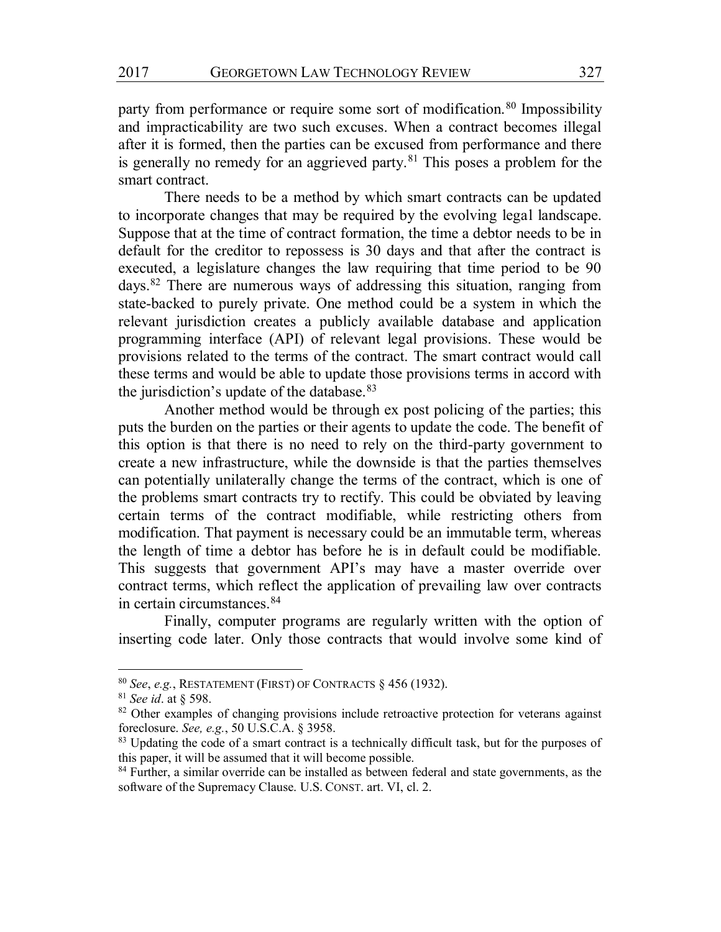party from performance or require some sort of modification.<sup>80</sup> Impossibility and impracticability are two such excuses. When a contract becomes illegal after it is formed, then the parties can be excused from performance and there is generally no remedy for an aggrieved party.<sup>81</sup> This poses a problem for the smart contract.

There needs to be a method by which smart contracts can be updated to incorporate changes that may be required by the evolving legal landscape. Suppose that at the time of contract formation, the time a debtor needs to be in default for the creditor to repossess is 30 days and that after the contract is executed, a legislature changes the law requiring that time period to be 90 days.82 There are numerous ways of addressing this situation, ranging from state-backed to purely private. One method could be a system in which the relevant jurisdiction creates a publicly available database and application programming interface (API) of relevant legal provisions. These would be provisions related to the terms of the contract. The smart contract would call these terms and would be able to update those provisions terms in accord with the jurisdiction's update of the database.<sup>83</sup>

Another method would be through ex post policing of the parties; this puts the burden on the parties or their agents to update the code. The benefit of this option is that there is no need to rely on the third-party government to create a new infrastructure, while the downside is that the parties themselves can potentially unilaterally change the terms of the contract, which is one of the problems smart contracts try to rectify. This could be obviated by leaving certain terms of the contract modifiable, while restricting others from modification. That payment is necessary could be an immutable term, whereas the length of time a debtor has before he is in default could be modifiable. This suggests that government API's may have a master override over contract terms, which reflect the application of prevailing law over contracts in certain circumstances.84

Finally, computer programs are regularly written with the option of inserting code later. Only those contracts that would involve some kind of

 <sup>80</sup> *See*, *e.g.*, RESTATEMENT (FIRST) OF CONTRACTS § 456 (1932).

<sup>81</sup> *See id*. at § 598.

<sup>&</sup>lt;sup>82</sup> Other examples of changing provisions include retroactive protection for veterans against foreclosure. *See, e.g.*, 50 U.S.C.A. § 3958.

<sup>&</sup>lt;sup>83</sup> Updating the code of a smart contract is a technically difficult task, but for the purposes of this paper, it will be assumed that it will become possible.

<sup>&</sup>lt;sup>84</sup> Further, a similar override can be installed as between federal and state governments, as the software of the Supremacy Clause. U.S. CONST. art. VI, cl. 2.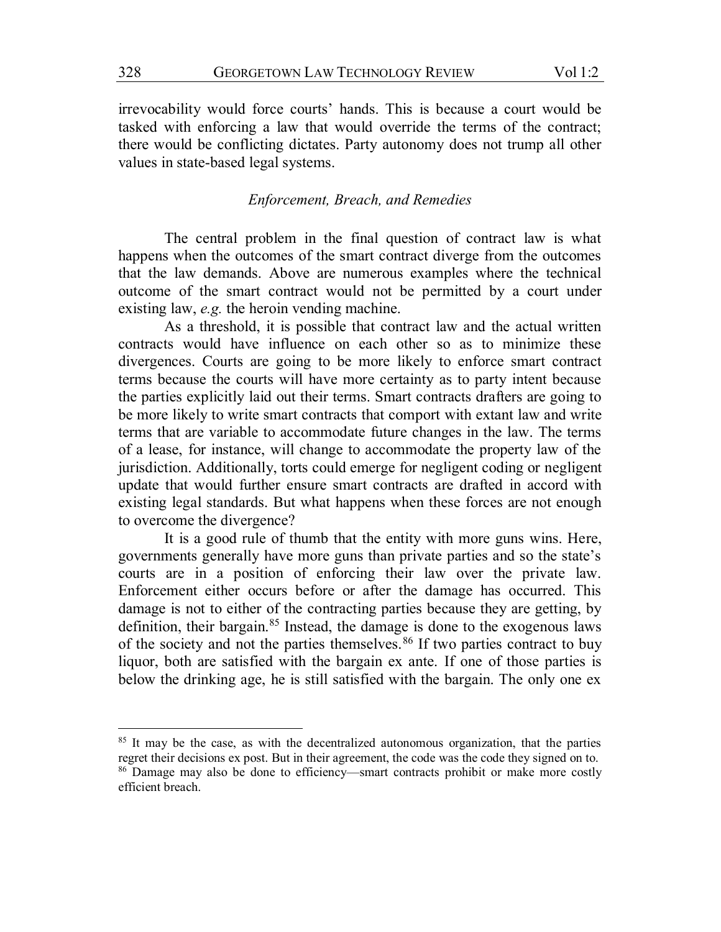irrevocability would force courts' hands. This is because a court would be tasked with enforcing a law that would override the terms of the contract; there would be conflicting dictates. Party autonomy does not trump all other values in state-based legal systems.

# *Enforcement, Breach, and Remedies*

The central problem in the final question of contract law is what happens when the outcomes of the smart contract diverge from the outcomes that the law demands. Above are numerous examples where the technical outcome of the smart contract would not be permitted by a court under existing law, *e.g.* the heroin vending machine.

As a threshold, it is possible that contract law and the actual written contracts would have influence on each other so as to minimize these divergences. Courts are going to be more likely to enforce smart contract terms because the courts will have more certainty as to party intent because the parties explicitly laid out their terms. Smart contracts drafters are going to be more likely to write smart contracts that comport with extant law and write terms that are variable to accommodate future changes in the law. The terms of a lease, for instance, will change to accommodate the property law of the jurisdiction. Additionally, torts could emerge for negligent coding or negligent update that would further ensure smart contracts are drafted in accord with existing legal standards. But what happens when these forces are not enough to overcome the divergence?

It is a good rule of thumb that the entity with more guns wins. Here, governments generally have more guns than private parties and so the state's courts are in a position of enforcing their law over the private law. Enforcement either occurs before or after the damage has occurred. This damage is not to either of the contracting parties because they are getting, by definition, their bargain.85 Instead, the damage is done to the exogenous laws of the society and not the parties themselves.<sup>86</sup> If two parties contract to buy liquor, both are satisfied with the bargain ex ante. If one of those parties is below the drinking age, he is still satisfied with the bargain. The only one ex

<sup>&</sup>lt;sup>85</sup> It may be the case, as with the decentralized autonomous organization, that the parties regret their decisions ex post. But in their agreement, the code was the code they signed on to. <sup>86</sup> Damage may also be done to efficiency—smart contracts prohibit or make more costly efficient breach.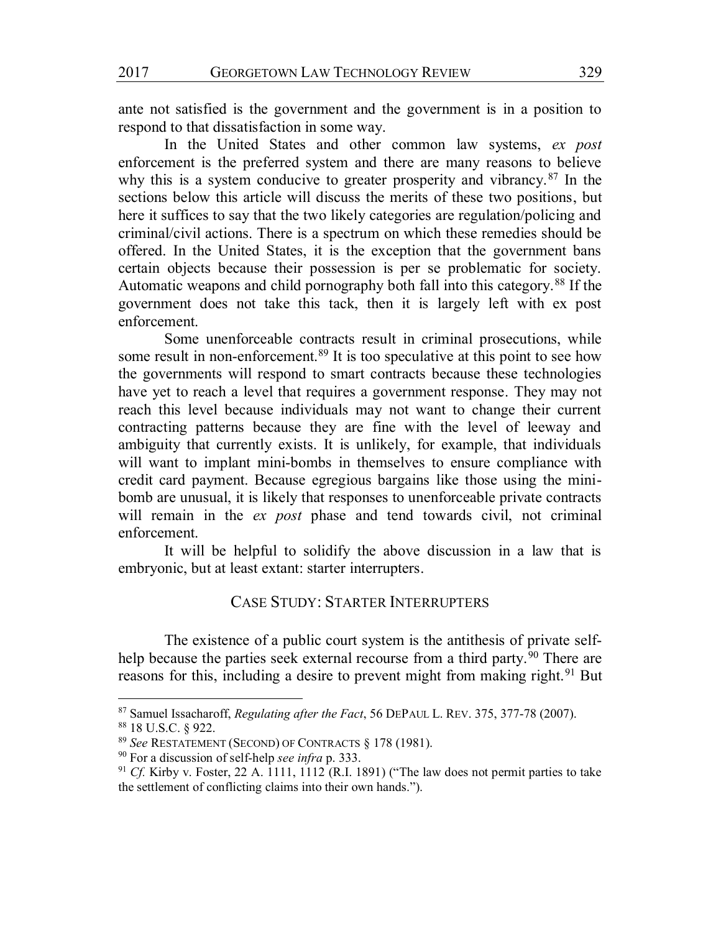ante not satisfied is the government and the government is in a position to respond to that dissatisfaction in some way.

In the United States and other common law systems, *ex post* enforcement is the preferred system and there are many reasons to believe why this is a system conducive to greater prosperity and vibrancy.<sup>87</sup> In the sections below this article will discuss the merits of these two positions, but here it suffices to say that the two likely categories are regulation/policing and criminal/civil actions. There is a spectrum on which these remedies should be offered. In the United States, it is the exception that the government bans certain objects because their possession is per se problematic for society. Automatic weapons and child pornography both fall into this category.<sup>88</sup> If the government does not take this tack, then it is largely left with ex post enforcement.

Some unenforceable contracts result in criminal prosecutions, while some result in non-enforcement.<sup>89</sup> It is too speculative at this point to see how the governments will respond to smart contracts because these technologies have yet to reach a level that requires a government response. They may not reach this level because individuals may not want to change their current contracting patterns because they are fine with the level of leeway and ambiguity that currently exists. It is unlikely, for example, that individuals will want to implant mini-bombs in themselves to ensure compliance with credit card payment. Because egregious bargains like those using the minibomb are unusual, it is likely that responses to unenforceable private contracts will remain in the *ex post* phase and tend towards civil, not criminal enforcement.

It will be helpful to solidify the above discussion in a law that is embryonic, but at least extant: starter interrupters.

# CASE STUDY: STARTER INTERRUPTERS

The existence of a public court system is the antithesis of private selfhelp because the parties seek external recourse from a third party.<sup>90</sup> There are reasons for this, including a desire to prevent might from making right.<sup>91</sup> But

 <sup>87</sup> Samuel Issacharoff, *Regulating after the Fact*, 56 DEPAUL L. REV. 375, 377-78 (2007).

<sup>88</sup> 18 U.S.C. § 922.

<sup>89</sup> *See* RESTATEMENT (SECOND) OF CONTRACTS § 178 (1981).

<sup>90</sup> For a discussion of self-help *see infra* p. 333.

<sup>91</sup> *Cf.* Kirby v. Foster, 22 A. 1111, 1112 (R.I. 1891) ("The law does not permit parties to take the settlement of conflicting claims into their own hands.").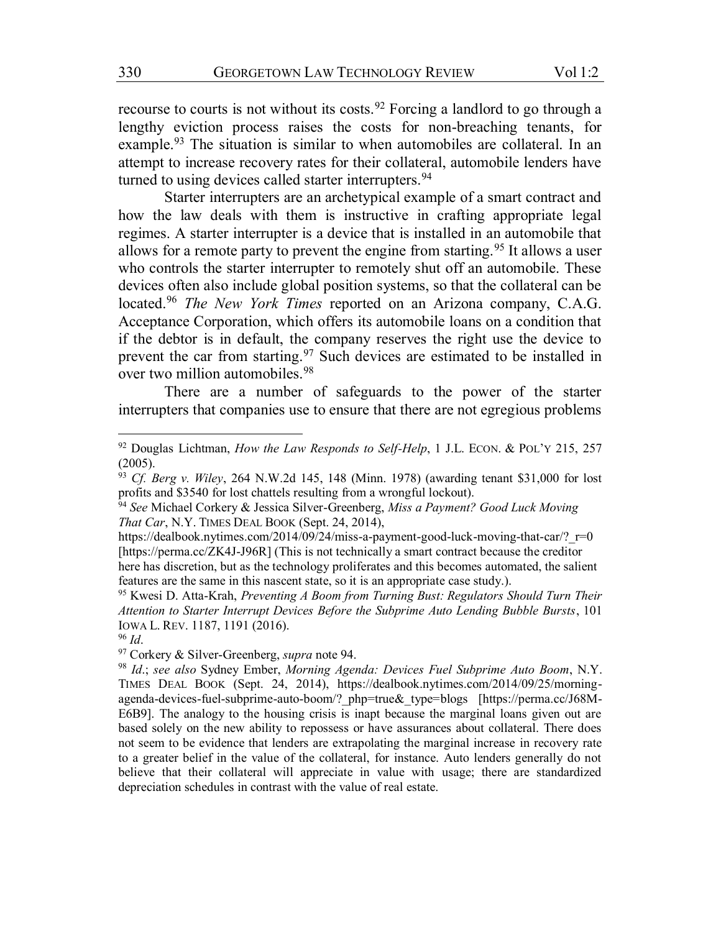recourse to courts is not without its costs.<sup>92</sup> Forcing a landlord to go through a lengthy eviction process raises the costs for non-breaching tenants, for example.<sup>93</sup> The situation is similar to when automobiles are collateral. In an attempt to increase recovery rates for their collateral, automobile lenders have turned to using devices called starter interrupters.<sup>94</sup>

Starter interrupters are an archetypical example of a smart contract and how the law deals with them is instructive in crafting appropriate legal regimes. A starter interrupter is a device that is installed in an automobile that allows for a remote party to prevent the engine from starting.95 It allows a user who controls the starter interrupter to remotely shut off an automobile. These devices often also include global position systems, so that the collateral can be located.96 *The New York Times* reported on an Arizona company, C.A.G. Acceptance Corporation, which offers its automobile loans on a condition that if the debtor is in default, the company reserves the right use the device to prevent the car from starting.97 Such devices are estimated to be installed in over two million automobiles.<sup>98</sup>

There are a number of safeguards to the power of the starter interrupters that companies use to ensure that there are not egregious problems

 <sup>92</sup> Douglas Lichtman, *How the Law Responds to Self-Help*, 1 J.L. ECON. & POL'<sup>Y</sup> 215, 257 (2005).

<sup>93</sup> *Cf. Berg v. Wiley*, 264 N.W.2d 145, 148 (Minn. 1978) (awarding tenant \$31,000 for lost profits and \$3540 for lost chattels resulting from a wrongful lockout).

<sup>94</sup> *See* Michael Corkery & Jessica Silver-Greenberg, *Miss a Payment? Good Luck Moving That Car*, N.Y. TIMES DEAL BOOK (Sept. 24, 2014),

https://dealbook.nytimes.com/2014/09/24/miss-a-payment-good-luck-moving-that-car/? r=0 [https://perma.cc/ZK4J-J96R] (This is not technically a smart contract because the creditor here has discretion, but as the technology proliferates and this becomes automated, the salient features are the same in this nascent state, so it is an appropriate case study.).

<sup>95</sup> Kwesi D. Atta-Krah, *Preventing A Boom from Turning Bust: Regulators Should Turn Their Attention to Starter Interrupt Devices Before the Subprime Auto Lending Bubble Bursts*, 101 IOWA L. REV. 1187, 1191 (2016).

<sup>96</sup> *Id*.

<sup>97</sup> Corkery & Silver-Greenberg, *supra* note 94.

<sup>98</sup> *Id*.; *see also* Sydney Ember, *Morning Agenda: Devices Fuel Subprime Auto Boom*, N.Y. TIMES DEAL BOOK (Sept. 24, 2014), https://dealbook.nytimes.com/2014/09/25/morningagenda-devices-fuel-subprime-auto-boom/?\_php=true&\_type=blogs [https://perma.cc/J68M-E6B9]. The analogy to the housing crisis is inapt because the marginal loans given out are based solely on the new ability to repossess or have assurances about collateral. There does not seem to be evidence that lenders are extrapolating the marginal increase in recovery rate to a greater belief in the value of the collateral, for instance. Auto lenders generally do not believe that their collateral will appreciate in value with usage; there are standardized depreciation schedules in contrast with the value of real estate.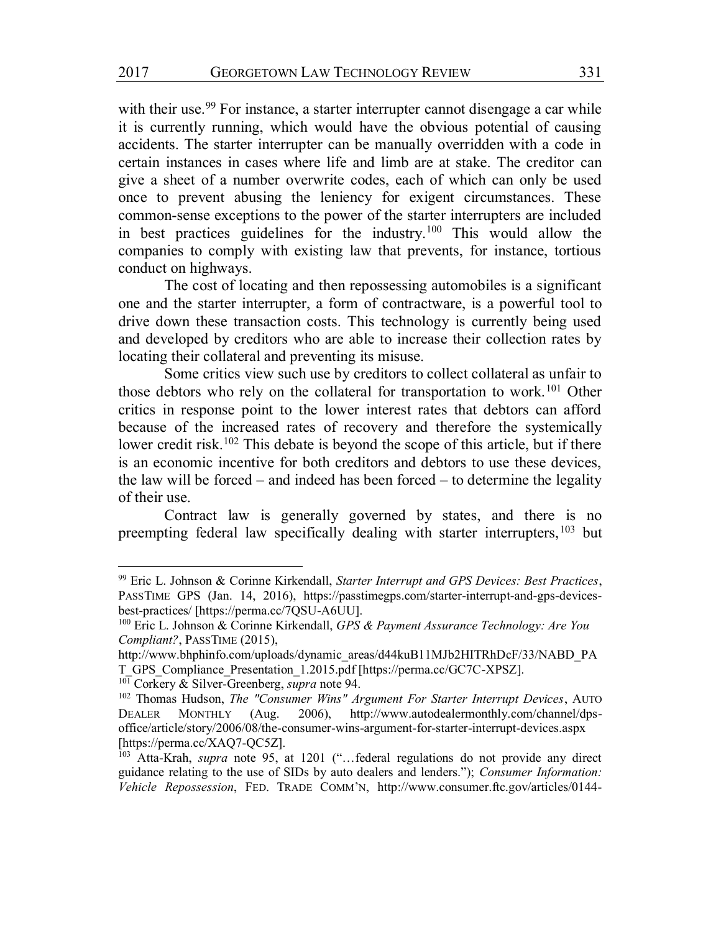with their use.<sup>99</sup> For instance, a starter interrupter cannot disengage a car while it is currently running, which would have the obvious potential of causing accidents. The starter interrupter can be manually overridden with a code in certain instances in cases where life and limb are at stake. The creditor can give a sheet of a number overwrite codes, each of which can only be used once to prevent abusing the leniency for exigent circumstances. These common-sense exceptions to the power of the starter interrupters are included in best practices guidelines for the industry.100 This would allow the companies to comply with existing law that prevents, for instance, tortious conduct on highways.

The cost of locating and then repossessing automobiles is a significant one and the starter interrupter, a form of contractware, is a powerful tool to drive down these transaction costs. This technology is currently being used and developed by creditors who are able to increase their collection rates by locating their collateral and preventing its misuse.

Some critics view such use by creditors to collect collateral as unfair to those debtors who rely on the collateral for transportation to work.<sup>101</sup> Other critics in response point to the lower interest rates that debtors can afford because of the increased rates of recovery and therefore the systemically lower credit risk.<sup>102</sup> This debate is beyond the scope of this article, but if there is an economic incentive for both creditors and debtors to use these devices, the law will be forced – and indeed has been forced – to determine the legality of their use.

Contract law is generally governed by states, and there is no preempting federal law specifically dealing with starter interrupters,<sup>103</sup> but

 <sup>99</sup> Eric L. Johnson & Corinne Kirkendall, *Starter Interrupt and GPS Devices: Best Practices*, PASSTIME GPS (Jan. 14, 2016), https://passtimegps.com/starter-interrupt-and-gps-devicesbest-practices/ [https://perma.cc/7QSU-A6UU].

<sup>100</sup> Eric L. Johnson & Corinne Kirkendall, *GPS & Payment Assurance Technology: Are You Compliant?*, PASSTIME (2015),

http://www.bhphinfo.com/uploads/dynamic\_areas/d44kuB11MJb2HITRhDcF/33/NABD\_PA T\_GPS\_Compliance\_Presentation\_1.2015.pdf [https://perma.cc/GC7C-XPSZ].

<sup>101</sup> Corkery & Silver-Greenberg, *supra* note 94.

<sup>102</sup> Thomas Hudson, *The "Consumer Wins" Argument For Starter Interrupt Devices*, AUTO DEALER MONTHLY (Aug. 2006), http://www.autodealermonthly.com/channel/dpsoffice/article/story/2006/08/the-consumer-wins-argument-for-starter-interrupt-devices.aspx [https://perma.cc/XAQ7-QC5Z].

<sup>103</sup> Atta-Krah, *supra* note 95, at 1201 ("…federal regulations do not provide any direct guidance relating to the use of SIDs by auto dealers and lenders."); *Consumer Information: Vehicle Repossession*, FED. TRADE COMM'N, http://www.consumer.ftc.gov/articles/0144-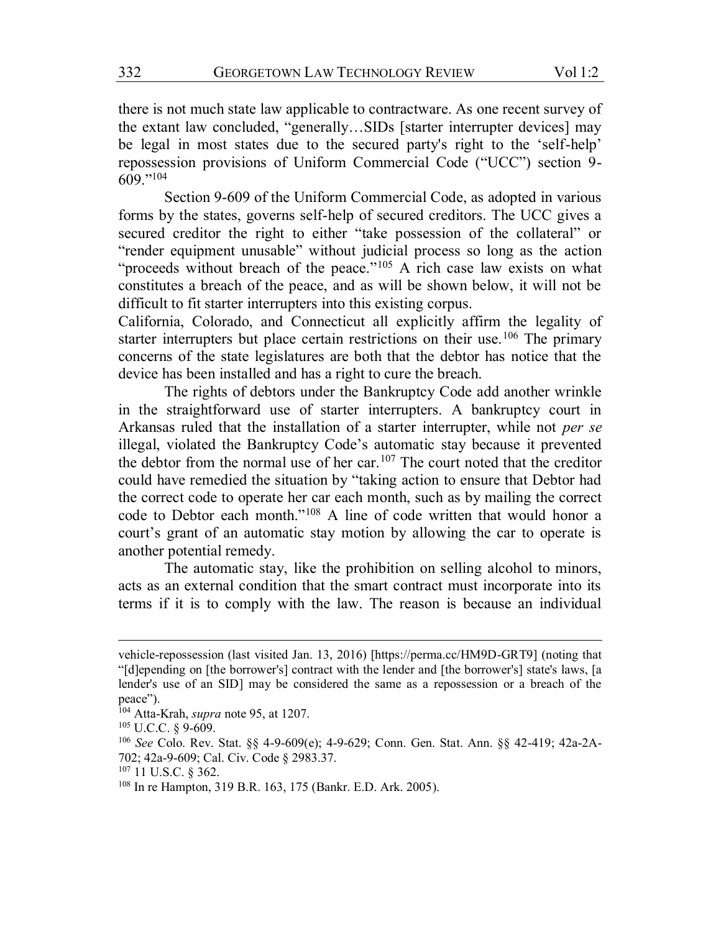there is not much state law applicable to contractware. As one recent survey of the extant law concluded, "generally…SIDs [starter interrupter devices] may be legal in most states due to the secured party's right to the 'self-help' repossession provisions of Uniform Commercial Code ("UCC") section 9- 609."<sup>104</sup>

Section 9-609 of the Uniform Commercial Code, as adopted in various forms by the states, governs self-help of secured creditors. The UCC gives a secured creditor the right to either "take possession of the collateral" or "render equipment unusable" without judicial process so long as the action "proceeds without breach of the peace."<sup>105</sup> A rich case law exists on what constitutes a breach of the peace, and as will be shown below, it will not be difficult to fit starter interrupters into this existing corpus.

California, Colorado, and Connecticut all explicitly affirm the legality of starter interrupters but place certain restrictions on their use.<sup>106</sup> The primary concerns of the state legislatures are both that the debtor has notice that the device has been installed and has a right to cure the breach.

The rights of debtors under the Bankruptcy Code add another wrinkle in the straightforward use of starter interrupters. A bankruptcy court in Arkansas ruled that the installation of a starter interrupter, while not *per se* illegal, violated the Bankruptcy Code's automatic stay because it prevented the debtor from the normal use of her car.<sup>107</sup> The court noted that the creditor could have remedied the situation by "taking action to ensure that Debtor had the correct code to operate her car each month, such as by mailing the correct code to Debtor each month."<sup>108</sup> A line of code written that would honor a court's grant of an automatic stay motion by allowing the car to operate is another potential remedy.

The automatic stay, like the prohibition on selling alcohol to minors, acts as an external condition that the smart contract must incorporate into its terms if it is to comply with the law. The reason is because an individual

 $\overline{a}$ 

vehicle-repossession (last visited Jan. 13, 2016) [https://perma.cc/HM9D-GRT9] (noting that "[d]epending on [the borrower's] contract with the lender and [the borrower's] state's laws, [a lender's use of an SID] may be considered the same as a repossession or a breach of the peace").

<sup>104</sup> Atta-Krah, *supra* note 95, at 1207.

<sup>105</sup> U.C.C. § 9-609.

<sup>106</sup> *See* Colo. Rev. Stat. §§ 4-9-609(e); 4-9-629; Conn. Gen. Stat. Ann. §§ 42-419; 42a-2A-702; 42a-9-609; Cal. Civ. Code § 2983.37.

<sup>107</sup> 11 U.S.C. § 362.

<sup>108</sup> In re Hampton, 319 B.R. 163, 175 (Bankr. E.D. Ark. 2005).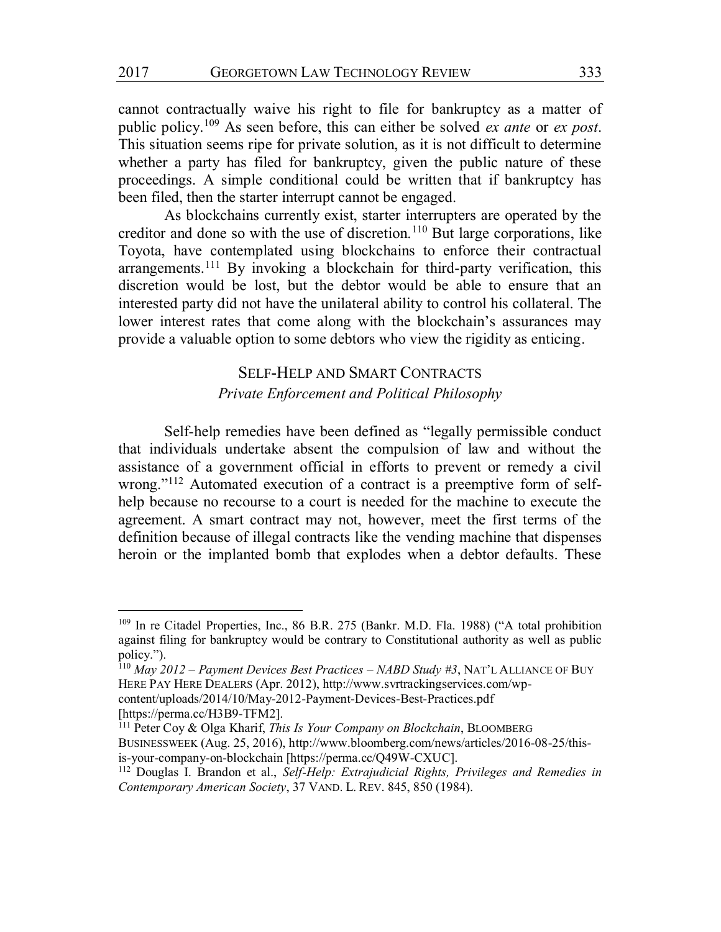cannot contractually waive his right to file for bankruptcy as a matter of public policy.109 As seen before, this can either be solved *ex ante* or *ex post*. This situation seems ripe for private solution, as it is not difficult to determine whether a party has filed for bankruptcy, given the public nature of these proceedings. A simple conditional could be written that if bankruptcy has been filed, then the starter interrupt cannot be engaged.

As blockchains currently exist, starter interrupters are operated by the creditor and done so with the use of discretion.<sup>110</sup> But large corporations, like Toyota, have contemplated using blockchains to enforce their contractual arrangements.111 By invoking a blockchain for third-party verification, this discretion would be lost, but the debtor would be able to ensure that an interested party did not have the unilateral ability to control his collateral. The lower interest rates that come along with the blockchain's assurances may provide a valuable option to some debtors who view the rigidity as enticing.

# SELF-HELP AND SMART CONTRACTS

#### *Private Enforcement and Political Philosophy*

Self-help remedies have been defined as "legally permissible conduct that individuals undertake absent the compulsion of law and without the assistance of a government official in efforts to prevent or remedy a civil wrong."<sup>112</sup> Automated execution of a contract is a preemptive form of selfhelp because no recourse to a court is needed for the machine to execute the agreement. A smart contract may not, however, meet the first terms of the definition because of illegal contracts like the vending machine that dispenses heroin or the implanted bomb that explodes when a debtor defaults. These

[https://perma.cc/H3B9-TFM2].

 <sup>109</sup> In re Citadel Properties, Inc., 86 B.R. 275 (Bankr. M.D. Fla. 1988) ("A total prohibition against filing for bankruptcy would be contrary to Constitutional authority as well as public policy.").

<sup>110</sup> *May 2012 – Payment Devices Best Practices – NABD Study #3*, NAT'L ALLIANCE OF BUY HERE PAY HERE DEALERS (Apr. 2012), http://www.svrtrackingservices.com/wpcontent/uploads/2014/10/May-2012-Payment-Devices-Best-Practices.pdf

<sup>111</sup> Peter Coy & Olga Kharif, *This Is Your Company on Blockchain*, BLOOMBERG BUSINESSWEEK (Aug. 25, 2016), http://www.bloomberg.com/news/articles/2016-08-25/thisis-your-company-on-blockchain [https://perma.cc/Q49W-CXUC].

<sup>112</sup> Douglas I. Brandon et al., *Self-Help: Extrajudicial Rights, Privileges and Remedies in Contemporary American Society*, 37 VAND. L. REV. 845, 850 (1984).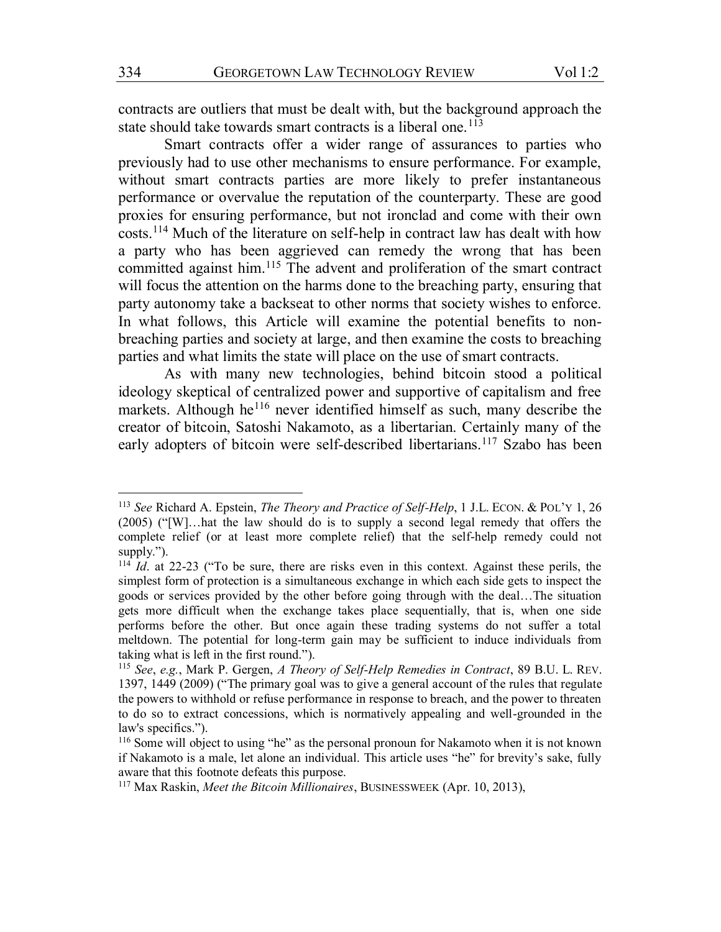contracts are outliers that must be dealt with, but the background approach the state should take towards smart contracts is a liberal one.<sup>113</sup>

Smart contracts offer a wider range of assurances to parties who previously had to use other mechanisms to ensure performance. For example, without smart contracts parties are more likely to prefer instantaneous performance or overvalue the reputation of the counterparty. These are good proxies for ensuring performance, but not ironclad and come with their own costs.114 Much of the literature on self-help in contract law has dealt with how a party who has been aggrieved can remedy the wrong that has been committed against him.115 The advent and proliferation of the smart contract will focus the attention on the harms done to the breaching party, ensuring that party autonomy take a backseat to other norms that society wishes to enforce. In what follows, this Article will examine the potential benefits to nonbreaching parties and society at large, and then examine the costs to breaching parties and what limits the state will place on the use of smart contracts.

As with many new technologies, behind bitcoin stood a political ideology skeptical of centralized power and supportive of capitalism and free markets. Although he<sup>116</sup> never identified himself as such, many describe the creator of bitcoin, Satoshi Nakamoto, as a libertarian. Certainly many of the early adopters of bitcoin were self-described libertarians.<sup>117</sup> Szabo has been

 <sup>113</sup> *See* Richard A. Epstein, *The Theory and Practice of Self-Help*, 1 J.L. ECON. & POL'<sup>Y</sup> 1, 26 (2005) ("[W]…hat the law should do is to supply a second legal remedy that offers the complete relief (or at least more complete relief) that the self-help remedy could not supply.").

<sup>114</sup> *Id*. at 22-23 ("To be sure, there are risks even in this context. Against these perils, the simplest form of protection is a simultaneous exchange in which each side gets to inspect the goods or services provided by the other before going through with the deal…The situation gets more difficult when the exchange takes place sequentially, that is, when one side performs before the other. But once again these trading systems do not suffer a total meltdown. The potential for long-term gain may be sufficient to induce individuals from taking what is left in the first round.").

<sup>115</sup> *See*, *e.g.*, Mark P. Gergen, *A Theory of Self-Help Remedies in Contract*, 89 B.U. L. REV. 1397, 1449 (2009) ("The primary goal was to give a general account of the rules that regulate the powers to withhold or refuse performance in response to breach, and the power to threaten to do so to extract concessions, which is normatively appealing and well-grounded in the law's specifics.").

<sup>116</sup> Some will object to using "he" as the personal pronoun for Nakamoto when it is not known if Nakamoto is a male, let alone an individual. This article uses "he" for brevity's sake, fully aware that this footnote defeats this purpose.

<sup>117</sup> Max Raskin, *Meet the Bitcoin Millionaires*, BUSINESSWEEK (Apr. 10, 2013),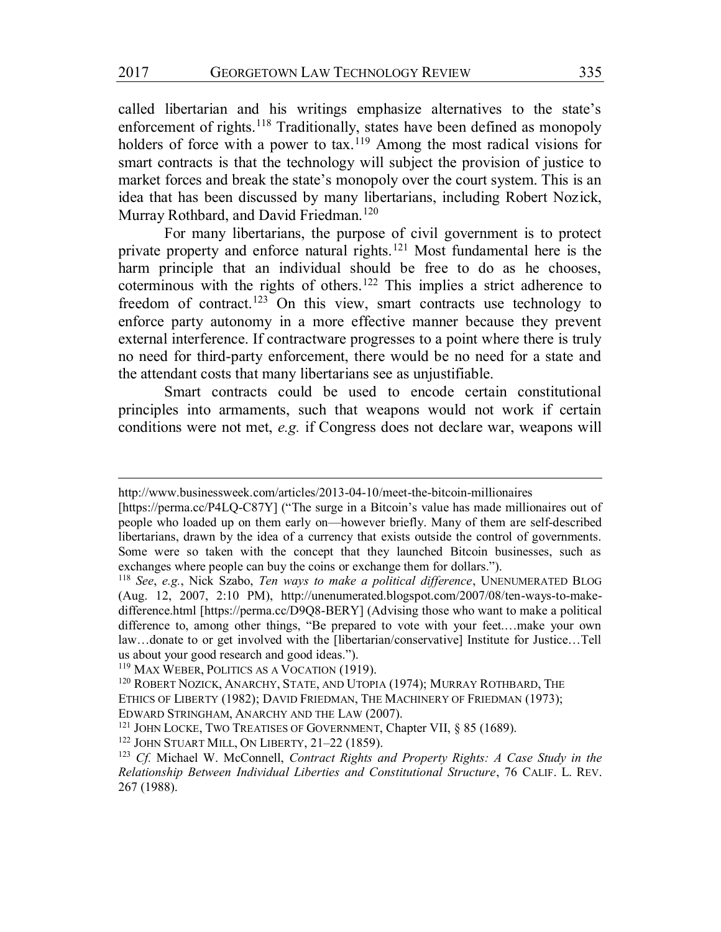called libertarian and his writings emphasize alternatives to the state's enforcement of rights.<sup>118</sup> Traditionally, states have been defined as monopoly holders of force with a power to tax.<sup>119</sup> Among the most radical visions for smart contracts is that the technology will subject the provision of justice to market forces and break the state's monopoly over the court system. This is an idea that has been discussed by many libertarians, including Robert Nozick, Murray Rothbard, and David Friedman.<sup>120</sup>

For many libertarians, the purpose of civil government is to protect private property and enforce natural rights.<sup>121</sup> Most fundamental here is the harm principle that an individual should be free to do as he chooses, coterminous with the rights of others.122 This implies a strict adherence to freedom of contract.<sup>123</sup> On this view, smart contracts use technology to enforce party autonomy in a more effective manner because they prevent external interference. If contractware progresses to a point where there is truly no need for third-party enforcement, there would be no need for a state and the attendant costs that many libertarians see as unjustifiable.

Smart contracts could be used to encode certain constitutional principles into armaments, such that weapons would not work if certain conditions were not met, *e.g.* if Congress does not declare war, weapons will

http://www.businessweek.com/articles/2013-04-10/meet-the-bitcoin-millionaires

<sup>[</sup>https://perma.cc/P4LQ-C87Y] ("The surge in a Bitcoin's value has made millionaires out of people who loaded up on them early on—however briefly. Many of them are self-described libertarians, drawn by the idea of a currency that exists outside the control of governments. Some were so taken with the concept that they launched Bitcoin businesses, such as exchanges where people can buy the coins or exchange them for dollars.").

<sup>118</sup> *See*, *e.g.*, Nick Szabo, *Ten ways to make a political difference*, UNENUMERATED BLOG (Aug. 12, 2007, 2:10 PM), http://unenumerated.blogspot.com/2007/08/ten-ways-to-makedifference.html [https://perma.cc/D9Q8-BERY] (Advising those who want to make a political difference to, among other things, "Be prepared to vote with your feet.…make your own law...donate to or get involved with the [libertarian/conservative] Institute for Justice...Tell us about your good research and good ideas.").

<sup>119</sup> MAX WEBER, POLITICS AS A VOCATION (1919).

<sup>&</sup>lt;sup>120</sup> ROBERT NOZICK, ANARCHY, STATE, AND UTOPIA (1974); MURRAY ROTHBARD, THE ETHICS OF LIBERTY (1982); DAVID FRIEDMAN, THE MACHINERY OF FRIEDMAN (1973); EDWARD STRINGHAM, ANARCHY AND THE LAW (2007).

<sup>&</sup>lt;sup>121</sup> JOHN LOCKE, TWO TREATISES OF GOVERNMENT, Chapter VII, § 85 (1689).

<sup>122</sup> JOHN STUART MILL, ON LIBERTY, 21–22 (1859).

<sup>123</sup> *Cf.* Michael W. McConnell, *Contract Rights and Property Rights: A Case Study in the Relationship Between Individual Liberties and Constitutional Structure*, 76 CALIF. L. REV. 267 (1988).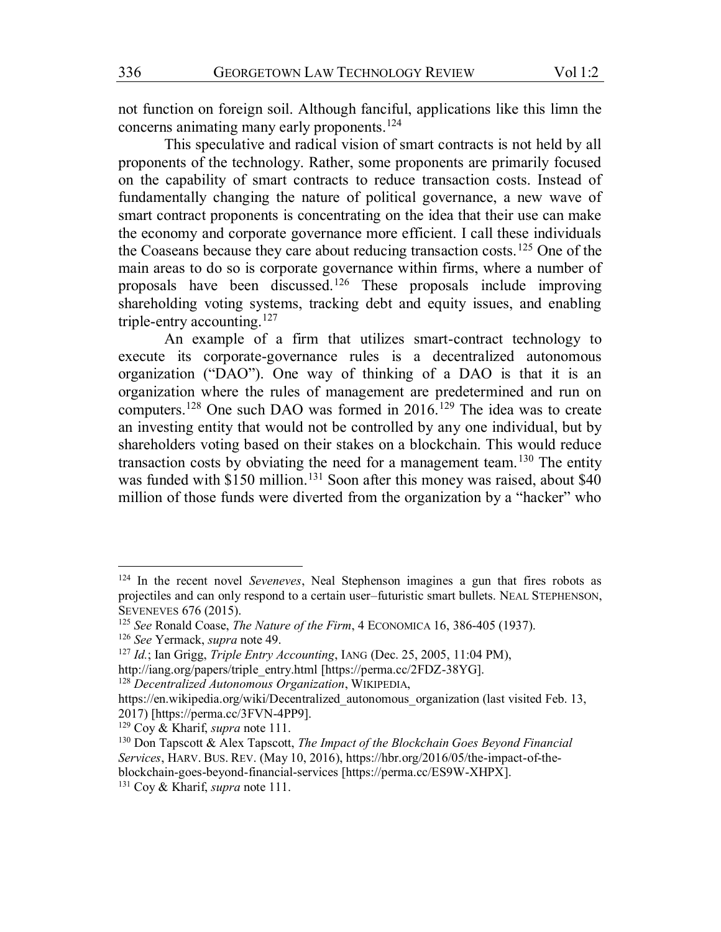not function on foreign soil. Although fanciful, applications like this limn the concerns animating many early proponents.124

This speculative and radical vision of smart contracts is not held by all proponents of the technology. Rather, some proponents are primarily focused on the capability of smart contracts to reduce transaction costs. Instead of fundamentally changing the nature of political governance, a new wave of smart contract proponents is concentrating on the idea that their use can make the economy and corporate governance more efficient. I call these individuals the Coaseans because they care about reducing transaction costs.125 One of the main areas to do so is corporate governance within firms, where a number of proposals have been discussed.126 These proposals include improving shareholding voting systems, tracking debt and equity issues, and enabling triple-entry accounting.127

An example of a firm that utilizes smart-contract technology to execute its corporate-governance rules is a decentralized autonomous organization ("DAO"). One way of thinking of a DAO is that it is an organization where the rules of management are predetermined and run on computers.128 One such DAO was formed in 2016.129 The idea was to create an investing entity that would not be controlled by any one individual, but by shareholders voting based on their stakes on a blockchain. This would reduce transaction costs by obviating the need for a management team.<sup>130</sup> The entity was funded with  $$150$  million.<sup>131</sup> Soon after this money was raised, about  $$40$ million of those funds were diverted from the organization by a "hacker" who

 <sup>124</sup> In the recent novel *Seveneves*, Neal Stephenson imagines a gun that fires robots as projectiles and can only respond to a certain user–futuristic smart bullets. NEAL STEPHENSON, SEVENEVES 676 (2015).

<sup>125</sup> *See* Ronald Coase, *The Nature of the Firm*, 4 ECONOMICA 16, 386-405 (1937).

<sup>126</sup> *See* Yermack, *supra* note 49.

<sup>127</sup> *Id.*; Ian Grigg, *Triple Entry Accounting*, IANG (Dec. 25, 2005, 11:04 PM),

http://iang.org/papers/triple\_entry.html [https://perma.cc/2FDZ-38YG].

<sup>128</sup> *Decentralized Autonomous Organization*, WIKIPEDIA,

https://en.wikipedia.org/wiki/Decentralized autonomous organization (last visited Feb. 13, 2017) [https://perma.cc/3FVN-4PP9].

<sup>129</sup> Coy & Kharif, *supra* note 111.

<sup>130</sup> Don Tapscott & Alex Tapscott, *The Impact of the Blockchain Goes Beyond Financial Services*, HARV. BUS. REV. (May 10, 2016), https://hbr.org/2016/05/the-impact-of-theblockchain-goes-beyond-financial-services [https://perma.cc/ES9W-XHPX].

<sup>131</sup> Coy & Kharif, *supra* note 111.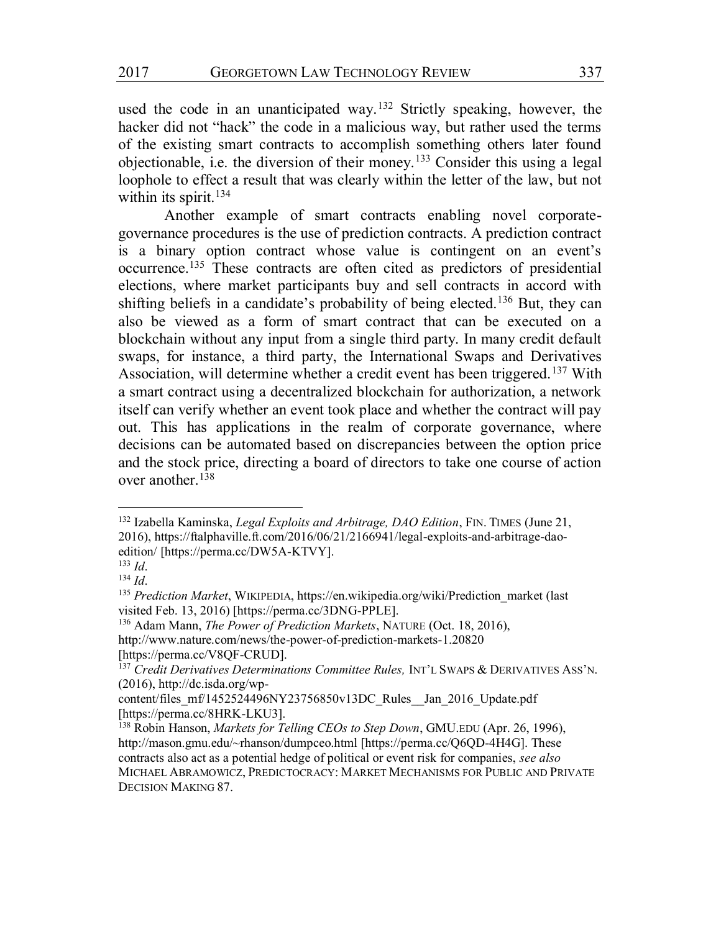used the code in an unanticipated way.132 Strictly speaking, however, the hacker did not "hack" the code in a malicious way, but rather used the terms of the existing smart contracts to accomplish something others later found objectionable, i.e. the diversion of their money.133 Consider this using a legal loophole to effect a result that was clearly within the letter of the law, but not within its spirit. $134$ 

Another example of smart contracts enabling novel corporategovernance procedures is the use of prediction contracts. A prediction contract is a binary option contract whose value is contingent on an event's occurrence.135 These contracts are often cited as predictors of presidential elections, where market participants buy and sell contracts in accord with shifting beliefs in a candidate's probability of being elected.<sup>136</sup> But, they can also be viewed as a form of smart contract that can be executed on a blockchain without any input from a single third party. In many credit default swaps, for instance, a third party, the International Swaps and Derivatives Association, will determine whether a credit event has been triggered.137 With a smart contract using a decentralized blockchain for authorization, a network itself can verify whether an event took place and whether the contract will pay out. This has applications in the realm of corporate governance, where decisions can be automated based on discrepancies between the option price and the stock price, directing a board of directors to take one course of action over another.<sup>138</sup>

http://www.nature.com/news/the-power-of-prediction-markets-1.20820 [https://perma.cc/V8QF-CRUD].

 <sup>132</sup> Izabella Kaminska, *Legal Exploits and Arbitrage, DAO Edition*, FIN. TIMES (June 21, 2016), https://ftalphaville.ft.com/2016/06/21/2166941/legal-exploits-and-arbitrage-daoedition/ [https://perma.cc/DW5A-KTVY].

<sup>133</sup> *Id*.

<sup>134</sup> *Id*.

<sup>135</sup> *Prediction Market*, WIKIPEDIA, https://en.wikipedia.org/wiki/Prediction\_market (last visited Feb. 13, 2016) [https://perma.cc/3DNG-PPLE].

<sup>136</sup> Adam Mann, *The Power of Prediction Markets*, NATURE (Oct. 18, 2016),

<sup>&</sup>lt;sup>137</sup> Credit Derivatives Determinations Committee Rules, INT'L SWAPS & DERIVATIVES ASS'N.  $(2016)$ , http://dc.isda.org/wp-

content/files\_mf/1452524496NY23756850v13DC\_Rules\_Jan\_2016\_Update.pdf [https://perma.cc/8HRK-LKU3].

<sup>138</sup> Robin Hanson, *Markets for Telling CEOs to Step Down*, GMU.EDU (Apr. 26, 1996), http://mason.gmu.edu/~rhanson/dumpceo.html [https://perma.cc/Q6QD-4H4G]. These contracts also act as a potential hedge of political or event risk for companies, *see also*  MICHAEL ABRAMOWICZ, PREDICTOCRACY: MARKET MECHANISMS FOR PUBLIC AND PRIVATE DECISION MAKING 87.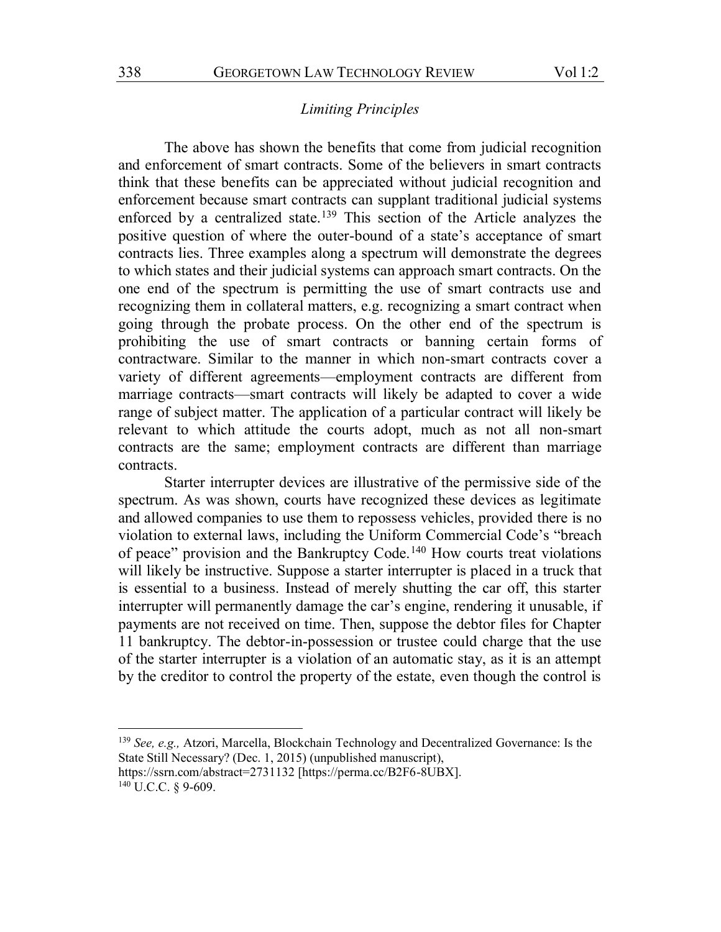## *Limiting Principles*

The above has shown the benefits that come from judicial recognition and enforcement of smart contracts. Some of the believers in smart contracts think that these benefits can be appreciated without judicial recognition and enforcement because smart contracts can supplant traditional judicial systems enforced by a centralized state.<sup>139</sup> This section of the Article analyzes the positive question of where the outer-bound of a state's acceptance of smart contracts lies. Three examples along a spectrum will demonstrate the degrees to which states and their judicial systems can approach smart contracts. On the one end of the spectrum is permitting the use of smart contracts use and recognizing them in collateral matters, e.g. recognizing a smart contract when going through the probate process. On the other end of the spectrum is prohibiting the use of smart contracts or banning certain forms of contractware. Similar to the manner in which non-smart contracts cover a variety of different agreements—employment contracts are different from marriage contracts—smart contracts will likely be adapted to cover a wide range of subject matter. The application of a particular contract will likely be relevant to which attitude the courts adopt, much as not all non-smart contracts are the same; employment contracts are different than marriage contracts.

Starter interrupter devices are illustrative of the permissive side of the spectrum. As was shown, courts have recognized these devices as legitimate and allowed companies to use them to repossess vehicles, provided there is no violation to external laws, including the Uniform Commercial Code's "breach of peace" provision and the Bankruptcy Code.<sup>140</sup> How courts treat violations will likely be instructive. Suppose a starter interrupter is placed in a truck that is essential to a business. Instead of merely shutting the car off, this starter interrupter will permanently damage the car's engine, rendering it unusable, if payments are not received on time. Then, suppose the debtor files for Chapter 11 bankruptcy. The debtor-in-possession or trustee could charge that the use of the starter interrupter is a violation of an automatic stay, as it is an attempt by the creditor to control the property of the estate, even though the control is

<sup>140</sup> U.C.C. § 9-609.

 <sup>139</sup> *See, e.g.,* Atzori, Marcella, Blockchain Technology and Decentralized Governance: Is the State Still Necessary? (Dec. 1, 2015) (unpublished manuscript),

https://ssrn.com/abstract=2731132 [https://perma.cc/B2F6-8UBX].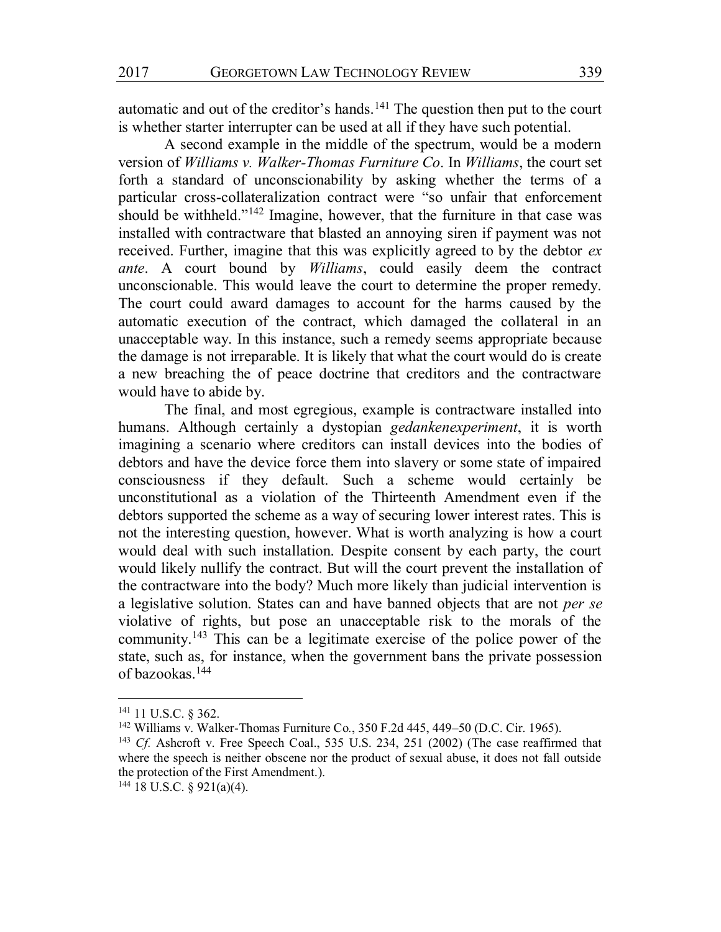automatic and out of the creditor's hands.<sup>141</sup> The question then put to the court is whether starter interrupter can be used at all if they have such potential.

A second example in the middle of the spectrum, would be a modern version of *Williams v. Walker-Thomas Furniture Co*. In *Williams*, the court set forth a standard of unconscionability by asking whether the terms of a particular cross-collateralization contract were "so unfair that enforcement should be withheld."<sup>142</sup> Imagine, however, that the furniture in that case was installed with contractware that blasted an annoying siren if payment was not received. Further, imagine that this was explicitly agreed to by the debtor *ex ante*. A court bound by *Williams*, could easily deem the contract unconscionable. This would leave the court to determine the proper remedy. The court could award damages to account for the harms caused by the automatic execution of the contract, which damaged the collateral in an unacceptable way. In this instance, such a remedy seems appropriate because the damage is not irreparable. It is likely that what the court would do is create a new breaching the of peace doctrine that creditors and the contractware would have to abide by.

The final, and most egregious, example is contractware installed into humans. Although certainly a dystopian *gedankenexperiment*, it is worth imagining a scenario where creditors can install devices into the bodies of debtors and have the device force them into slavery or some state of impaired consciousness if they default. Such a scheme would certainly be unconstitutional as a violation of the Thirteenth Amendment even if the debtors supported the scheme as a way of securing lower interest rates. This is not the interesting question, however. What is worth analyzing is how a court would deal with such installation. Despite consent by each party, the court would likely nullify the contract. But will the court prevent the installation of the contractware into the body? Much more likely than judicial intervention is a legislative solution. States can and have banned objects that are not *per se* violative of rights, but pose an unacceptable risk to the morals of the community.143 This can be a legitimate exercise of the police power of the state, such as, for instance, when the government bans the private possession of bazookas.144

 <sup>141</sup> 11 U.S.C. § 362.

<sup>142</sup> Williams v. Walker-Thomas Furniture Co*.*, 350 F.2d 445, 449–50 (D.C. Cir. 1965).

<sup>143</sup> *Cf.* Ashcroft v. Free Speech Coal., 535 U.S. 234, 251 (2002) (The case reaffirmed that where the speech is neither obscene nor the product of sexual abuse, it does not fall outside the protection of the First Amendment.).

 $144$  18 U.S.C. § 921(a)(4).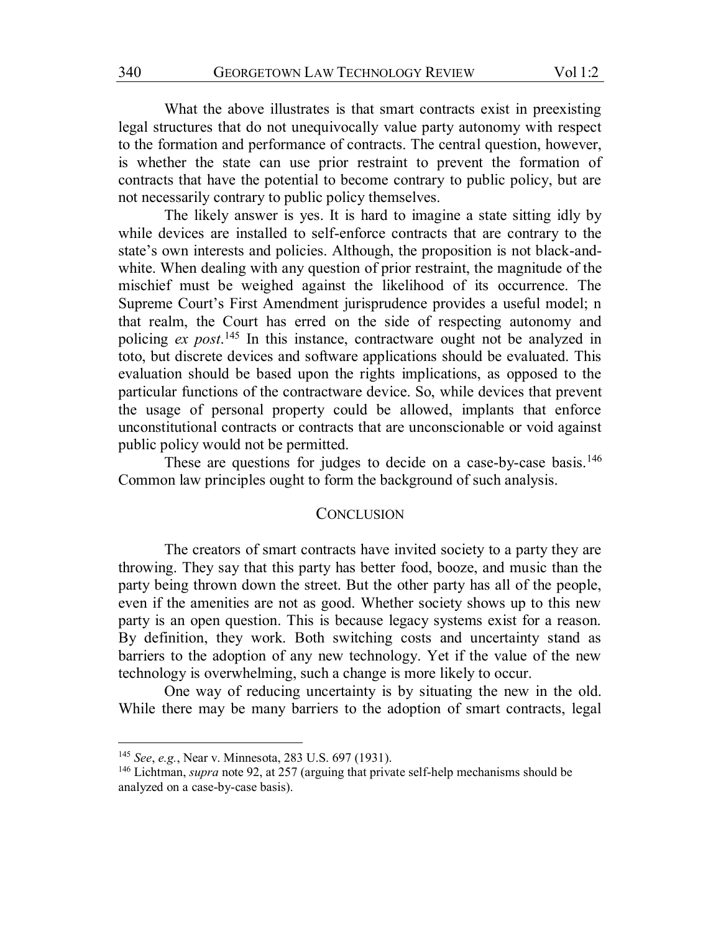What the above illustrates is that smart contracts exist in preexisting legal structures that do not unequivocally value party autonomy with respect to the formation and performance of contracts. The central question, however, is whether the state can use prior restraint to prevent the formation of contracts that have the potential to become contrary to public policy, but are not necessarily contrary to public policy themselves.

The likely answer is yes. It is hard to imagine a state sitting idly by while devices are installed to self-enforce contracts that are contrary to the state's own interests and policies. Although, the proposition is not black-andwhite. When dealing with any question of prior restraint, the magnitude of the mischief must be weighed against the likelihood of its occurrence. The Supreme Court's First Amendment jurisprudence provides a useful model; n that realm, the Court has erred on the side of respecting autonomy and policing *ex post*. <sup>145</sup> In this instance, contractware ought not be analyzed in toto, but discrete devices and software applications should be evaluated. This evaluation should be based upon the rights implications, as opposed to the particular functions of the contractware device. So, while devices that prevent the usage of personal property could be allowed, implants that enforce unconstitutional contracts or contracts that are unconscionable or void against public policy would not be permitted.

These are questions for judges to decide on a case-by-case basis.<sup>146</sup> Common law principles ought to form the background of such analysis.

## **CONCLUSION**

The creators of smart contracts have invited society to a party they are throwing. They say that this party has better food, booze, and music than the party being thrown down the street. But the other party has all of the people, even if the amenities are not as good. Whether society shows up to this new party is an open question. This is because legacy systems exist for a reason. By definition, they work. Both switching costs and uncertainty stand as barriers to the adoption of any new technology. Yet if the value of the new technology is overwhelming, such a change is more likely to occur.

One way of reducing uncertainty is by situating the new in the old. While there may be many barriers to the adoption of smart contracts, legal

 <sup>145</sup> *See*, *e.g.*, Near v. Minnesota, 283 U.S. 697 (1931).

<sup>146</sup> Lichtman, *supra* note 92, at 257 (arguing that private self-help mechanisms should be analyzed on a case-by-case basis).